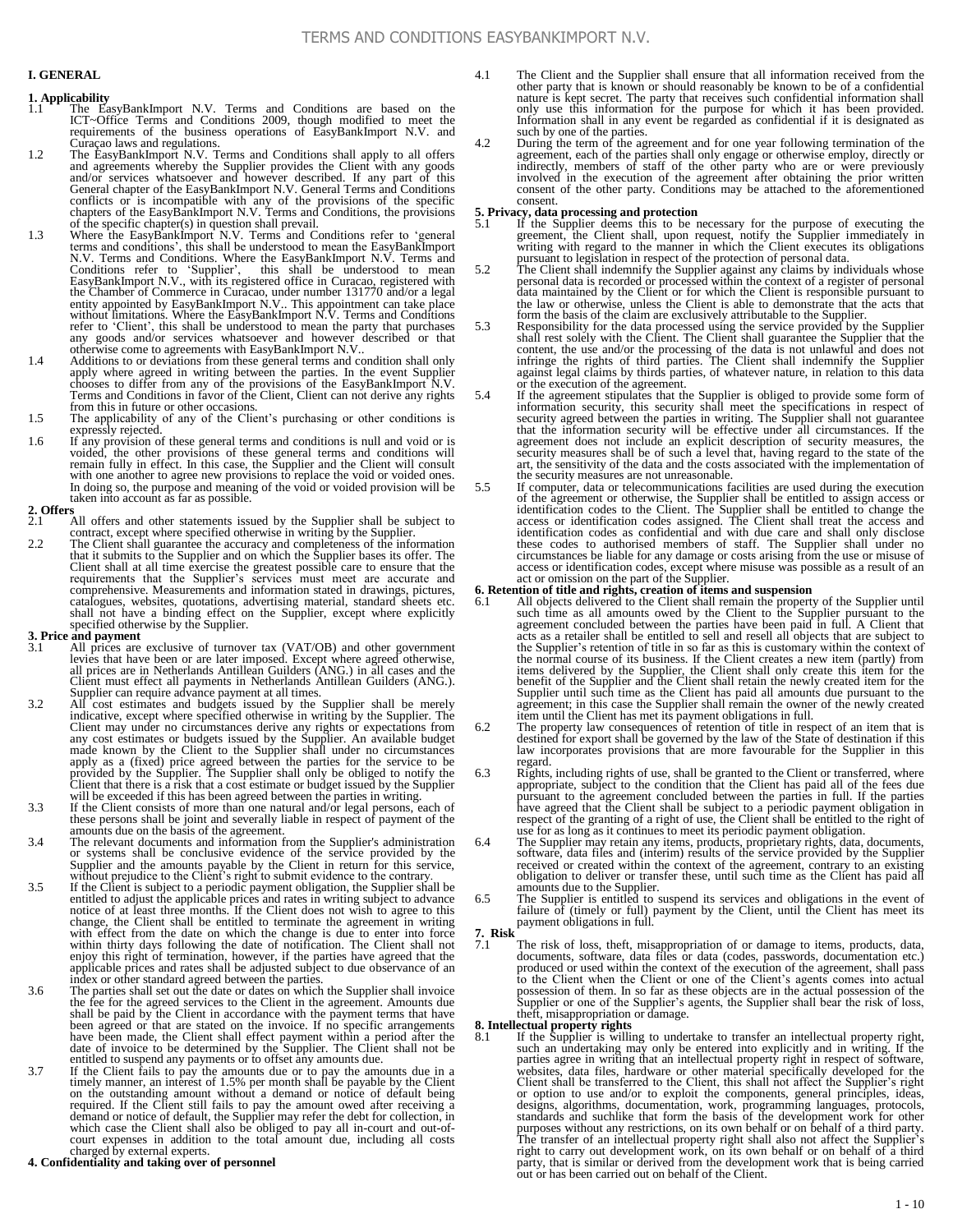#### **I. GENERAL**

- **1. Applicability** 1.1 The EasyBankImport N.V. Terms and Conditions are based on the ICT~Office Terms and Conditions 2009, though modified to meet the requirements of the business operations of EasyBankImport N.V. and
- Curaçao laws and regulations.<br>
1.2 The EasyBankImport N.V. Terms and Conditions shall apply to all offers<br>
and agreements whereby the Supplier provides the Client with any goods<br>
and/or services whatsoever and however desc
- terms and conditions', this shall be understood to mean the EasyBankImport N.V. Terms and Conditions. Where the EasyBankImport N.V. Terms and Conditions refer to 'Supplier', this shall be understood to mean<br>EasyBankImport N.V., with its registered office in Curacao, registered with<br>the Chamber of Commerce in Curacao, under number 131770 and/or a legal<br>entity app refer to 'Client', this shall be understood to mean the party that purchases any goods and/or services whatsoever and however described or that otherwise come to agreements with EasyBankImport N.V..
- 1.4 Additions to or deviations from these general terms and condition shall only apply where agreed in writing between the parties. In the event Supplier chooses to differ from any of the provisions of the EasyBankImport N.V.<br>Terms and Conditions in favor of the Client, Client can not derive any rights from this in future or other occasions.
- 1.5 The applicability of any of the Client's purchasing or other conditions is expressly rejected.
- 1.6 If any provision of these general terms and conditions is null and void or is voided, the other provisions of these general terms and conditions will remain fully in effect. In this case, the Supplier and the Client will consult with one another to agree new provisions to replace the void or voided ones. In doing so, the purpose and meaning of the void or voided provision will be taken into account as far as possible.

## **2. Offers**

- All offers and other statements issued by the Supplier shall be subject to contract, except where specified otherwise in writing by the Supplier.
- 2.2 The Client shall guarantee the accuracy and completeness of the information that it submits to the Supplier and on which the Supplier bases its offer. The Client shall at all time exercise the greatest possible care to ensure that the requirements that the Supplier's services must meet are accurate and comprehensive. Measurements and information stated in drawings, pictures, catalogues, websites, quotations, advertising material, standard sheets etc. shall not have a binding effect on the Supplier, except where explicitly specified otherwise by the Supplier.

### **3. Price and payment**<br>3.1 All prices are

- All prices are exclusive of turnover tax (VAT/OB) and other government levies that have been or are later imposed. Except where agreed otherwise, all prices are in Netherlands Antillean Guilders (ANG.) in all cases and the Client must effect all payments in Netherlands Antillean Guilders (ANG.).
- Supplier can require advance payment at all times.<br>
2.2 All cost estimates and budgets issued by the Supplier shall be merely<br>
indicative, except where specified otherwise in writing by the Supplier. The<br>
Client may under any cost estimates or budgets issued by the Supplier. An available budget made known by the Client to the Supplier shall under no circumstances apply as a (fixed) price agreed between the parties for the service to be provided by the Supplier. The Supplier shall only be obliged to notify the Client that there is a risk that a cost estimate or budget issued by the will be exceeded if this has been agreed between the parties in writing.
- 3.3 If the Client consists of more than one natural and/or legal persons, each of these persons shall be joint and severally liable in respect of payment of the amounts due on the basis of the agreement.
- 3.4 The relevant documents and information from the Supplier's administration or systems shall be conclusive evidence of the service provided by the Supplier and the amounts payable by the Client in return for this service,
- without prejudice to the Client's right to submit evidence to the contrary.<br>If the Client is subject to a periodic payment obligation, the Supplier shall be<br>entitled to adjust the applicable prices and rates in writing sub change, the Client shall be entitled to terminate the agreement in writing with effect from the date on which the change is due to enter into force<br>within thirty days following the date of notification. The Client shall not<br>enjoy this right of termination, however, if the parties have agreed that applicable prices and rates shall be adjusted subject to due observance of an
- index or other standard agreed between the parties. 3.6 The parties shall set out the date or dates on which the Supplier shall invoice the fee for the agreed services to the Client in the agreement. Amounts due shall be paid by the Client in accordance with the payment terms that have been agreed or that are stated on the invoice. If no specific arrangements have been made, the Client shall effect payment within a period after the date of invoice to be determined by the Supplier. The Client shall not be entitled to suspend any payments or to offset any amounts due.
- 3.7 If the Client fails to pay the amounts due or to pay the amounts due in a timely manner, an interest of 1.5% per month shall be payable by the Client on the outstanding amount without a demand or notice of default bein demand or notice of default, the Supplier may refer the debt for collection, in<br>which case the Client shall also be obliged to pay all in-court and out-of-<br>court expenses in addition to the total amount due, including all

- 4.1 The Client and the Supplier shall ensure that all information received from the other party that is known or should reasonably be known to be of a confidential nature is kept secret. The party that receives such confidential information shall only use this information for the purpose for which it has been provided. Information shall in any event be regarded as confidential if it is designated as such by one of the parties.<br>
4.2 During the term of the agreement and for one year following termination of the
- agreement, each of the parties shall only engage or otherwise employ, directly or<br>indirectly, members of staff of the other party who are or were previously<br>involved in the execution of the agreement after obtaining the pr consent.

- **5. Privacy, data processing and protection**<br>5.1 If the Supplier deems this to be necessary for the purpose of executing the<br>greement, the Client shall, upon request, notify the Supplier immediately in<br>writing with regard
- pursuant to legislation in respect of the protection of personal data.<br>5.2 The Client shall indemnify the Supplier against any claims by individuals whose<br>personal data is recorded or processed within the context of a regi the law or otherwise, unless the Client is able to demonstrate that the acts that form the basis of the claim are exclusively attributable to the Supplier.
- 5.3 Responsibility for the data processed using the service provided by the Supplier shall rest solely with the Client. The Client shall guarantee the Supplier that the content, the use and/or the processing of the data is against legal claims by thirds parties, of whatever nature, in relation to this data
- or the execution of the agreement.<br>
5.4 If the agreement stipulates that the Supplier is obliged to provide some form of<br>
information security, this security shall meet the specifications in respect of<br>
security agreed bet that the information security will be effective under all circumstances. If the agreement does not include an explicit description of security measures, the security measures shall be of such a level that, having regard to the state of the art, the sensitivity of the data and the costs associated with the implementation of the security measures are not unreasonable.
- 5.5 If computer, data or telecommunications facilities are used during the execution of the agreement or otherwise, the Supplier shall be entitled to assign access or identification codes to the Client. The Supplier shall be entitled to change the access or identification codes assigned. The Client shall t identification codes as confidential and with due care and shall only disclose these codes to authorised members of staff. The Supplier shall under no circumstances be liable for any damage or costs arising from the use or misuse of access or identification codes, except where misuse was possible as a result of an act or omission on the part of the Supplier.

### **6. Retention of title and rights, creation of items and suspension**

- 6.1 All objects delivered to the Client shall remain the property of the Supplier until such time as all amounts owed by the Client to the Supplier pursuant to the agreement concluded between the parties have been paid in full. A Client that<br>acts as a retailer shall be entitled to sell and resell all objects that are subject to<br>the Supplier's retention of title in so far as this is c benefit of the Supplier and the Client shall retain the newly created item for the Supplier until such time as the Client has paid all amounts due pursuant to the agreement; in this case the Supplier shall remain the owner of the newly created item until the Client has met its payment obligations in full.<br>6.2 The property law consequences of retention of title in respect of an item that is
- destined for export shall be governed by the law of the State of destination if this law incorporates provisions that are more favourable for the Supplier in this
- regard.<br>
6.3 Rights, including rights of use, shall be granted to the Client or transferred, where appropriate, subject to the condition that the Client has paid all of the fees due pursuant to the agreement concluded between the parties in full. If the parties have agreed that the Client shall be subject to a periodic payment obligation in respect of the granting of a right of use, the Client shall be entitled to the right of use for as long as it continues to meet its periodic payment obligation.<br>6.4 The Supplier may retain any items, products, proprietary
- software, data files and (interim) results of the service provided by the Supplier received or created within the context of the agreement, contrary to an existing obligation to deliver or transfer these, until such time as the Client has paid all
- amounts due to the Supplier. 6.5 The Supplier is entitled to suspend its services and obligations in the event of failure of (timely or full) payment by the Client, until the Client has meet its payment obligations in full.
- **7. Risk**
- 7.1 The risk of loss, theft, misappropriation of or damage to items, products, data, documents, software, data files or data (codes, passwords, documentation etc.) produced or used within the context of the execution of the agreement, shall pass to the Client when the Client or one of the Client's agents comes into actual possession of them. In so far as these objects are in the actual possession of the Supplier one of the Supplier stagents, the Supplier shall bea

### **8. Intellectual property rights**<br>8.1 If the Supplier is willing

8.1 If the Supplier is willing to undertake to transfer an intellectual property right, such an undertaking may only be entered into explicitly and in writing. If the parties agree in writing that an intellectual property right in respect of software, websites, data files, hardware or other material specifically developed for the Client shall be transferred to the Client, this shall not affect the Supplier's right or option to use and/or to exploit the components, general principles, ideas, designs, algorithms, documentation, work, programming languages, protocols, standards and suchlike that form the basis of the development work f purposes without any restrictions, on its own behalf or on behalf of a third party.<br>The transfer of an intellectual property right shall also not affect the Supplier's<br>right to carry out development work, on its own behalf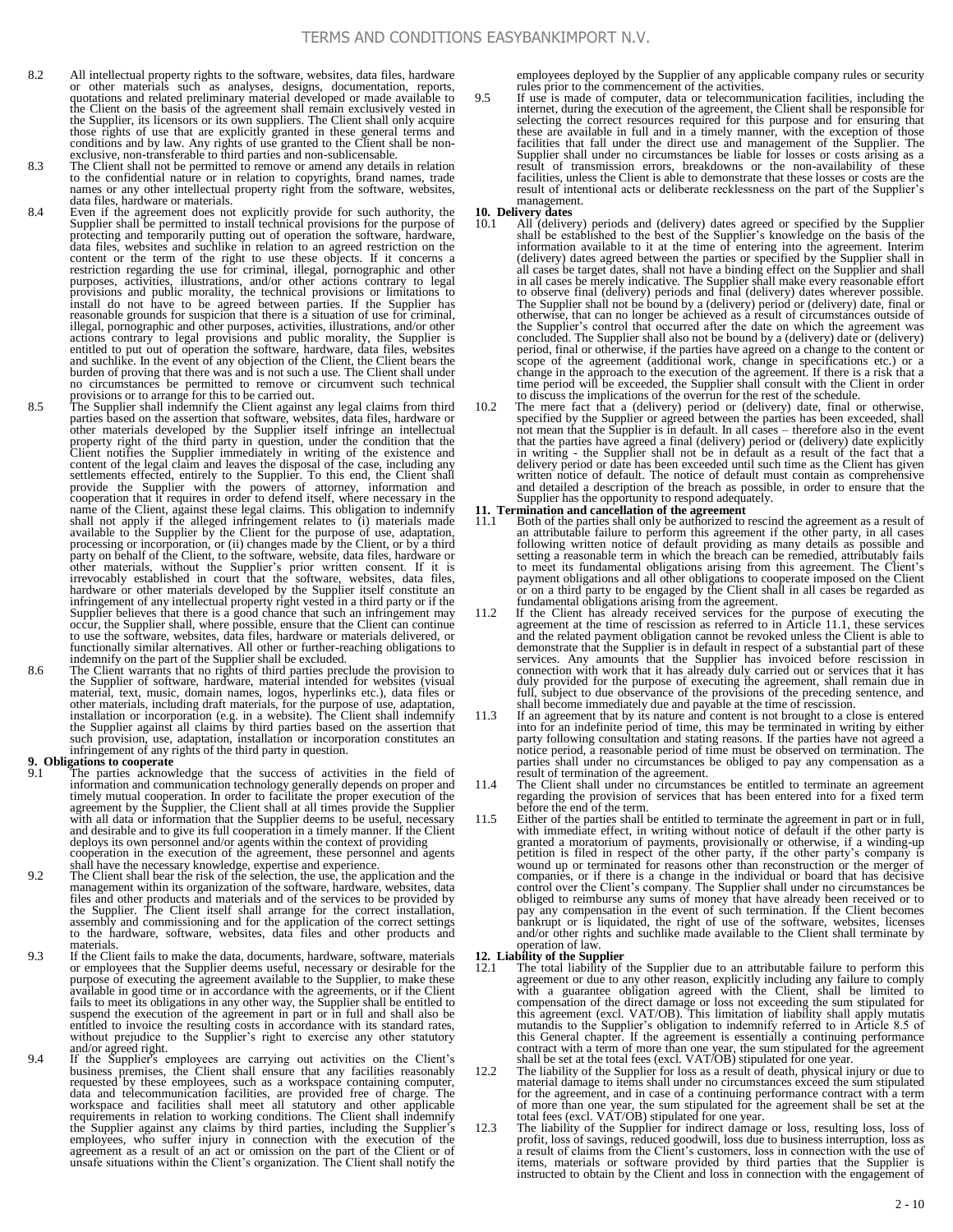- 8.2 All intellectual property rights to the software, websites, data files, hardware or other materials such as analyses, designs, documentation, reports, quotations and related preliminary material developed or made available to the Client on the basis of the agreement shall remain exclusively vested in the Supplier, its licensors or its own suppliers. The Client shall only acquire those rights of use that are explicitly granted in these general terms and conditions and by law. Any rights of use granted to the Client shall be non-exclusive, non-transferable to third parties and non-sublicensable.
- 8.3 The Client shall not be permitted to remove or amend any details in relation to the confidential nature or in relation to copyrights, brand names, trade names or any other intellectual property right from the software, websites, data files, hardware or materials.
- 8.4 Even if the agreement does not explicitly provide for such authority, the Supplier shall be permitted to install technical provisions for the purpose of<br>protecting and temporarily putting out of operation the software, hardware,<br>data files, websites and suchlike in relation to an agreed restrict content or the term of the right to use these objects. If it concerns a restriction regarding the use for criminal, illegal, pornographic and other<br>purposes, activities, illustrations, and/or other actions contrary to legal<br>provisions and public morality, the technical provisions or limitation reasonable grounds for suspicion that there is a situation of use for criminal, illegal, pornographic and other purposes, activities, illustrations, and/or other<br>actions contrary to legal provisions and public morality, the Supplier is<br>entitled to put out of operation the software, hardware, data file and suchlike. In the event of any objection of the Client, the Client bears the burden of proving that there was and is not such a use. The Client shall under no circumstances be permitted to remove or circumvent such technical provisions or to arrange for this to be carried out.<br>8.5 The Supplier shall indemnify the Client against any legal claims from third
- parties based on the assertion that software, websites, data files, hardware or other materials developed by the Supplier itself infringe an intellectual property right of the third party in question, under the condition that the Client notifies the Supplier immediately in writing of the existence and content of the legal claim and leaves the disposal of the case, including settlements effected, entirely to the Supplier. To this end, the Client shall<br>provide the Supplier with the powers of attorney, information and<br>cooperation that it requires in order to defend itself, where necessary in the available to the Supplier by the Client for the purpose of use, adaptation, processing or incorporation, or (ii) changes made by the Client, or by a third<br>party on behalf of the Client, to the software, website, data files, hardware or<br>thermaterials, without the Supplier's prior written consent. I hardware or other materials developed by the Supplier itself constitute an infringement of any intellectual property right vested in a third party or if the Supplier believes that there is a good chance that such an infringement may occur, the Supplier shall, where possible, ensure that the Client can continue to use the software, websites, data files, hardware or materials delivered, or functionally similar alternatives. All other or further-reaching obligations to indemnify on the part of the Supplier shall be excluded. 8.6 The Client warrants that no rights of third parties preclude the provision to
- the Supplier of software, hardware, material intended for websites (visual material, text, music, domain names, logos, hyperlinks etc.), data files or<br>other materials, including draft materials, for the purpose of use, adaptation,<br>installation or incorporation (e.g. in a website). The Client shal such provision, use, adaptation, installation or incorporation constitutes an infringement of any rights of the third party in question.

### **9. Obligations to cooperate**<br>9.1 The parties acknow

- 9.1 The parties acknowledge that the success of activities in the field of information and communication technology generally depends on proper and timely mutual cooperation. In order to facilitate the proper execution of agreement by the Supplier, the Client shall at all times provide the Supplier<br>with all data or information that the Supplier deems to be useful, necessary<br>and desirable and to give its full cooperation in a timely manner. deploys its own personnel and/or agents within the context of providing cooperation in the execution of the agreement, these personnel and agents shall have the necessary knowledge, expertise and experience.
- 9.2 The Client shall bear the risk of the selection, the use, the application and the management within its organization of the software, hardware, websites, data files and other products and materials and of the services to be provided by the Supplier. The Client itself shall arrange for the correct installation, assembly and commissioning and for the application of the correct settings to the hardware, software, websites, data files and other products and materials.
- 9.3 If the Client fails to make the data, documents, hardware, software, materials or employees that the Supplier deems useful, necessary or desirable for the purpose of executing the agreement available to the Supplier, to make these<br>available in good time or in accordance with the agreements, or if the Client<br>fails to meet its obligations in any other way, the Supplier shall b entitled to invoice the resulting costs in accordance with its standard rates, without prejudice to the Supplier's right to exercise any other statutory and/or agreed right.
- 9.4 If the Supplier's employees are carrying out activities on the Client's business premises, the Client shall ensure that any facilities reasonably<br>requested by these employees, such as a workspace containing computer,<br>data and telecommunication facilities, are provided free of charge. The<br>works the Supplier against any claims by third parties, including the Supplier's employees, who suffer injury in connection with the execution of the Suprement as a result of an act or omission on the part of the Client or of un

employees deployed by the Supplier of any applicable company rules or security rules prior to the commencement of the activities.

9.5 If use is made of computer, data or telecommunication facilities, including the internet, during the execution of the agreement, the Client shall be responsible for selecting the correct resources required for this purpose and for ensuring that these are available in full and in a timely manner, with the exception of those facilities that fall under the direct use and management of the Supplier. The Supplier shall under no circumstances be liable for losses or costs arising as a result of transmission errors, breakdowns or the non-availability of these facilities, unless the Client is able to demonstrate that these losses or costs are the result of intentional acts or deliberate recklessness on the part of the Supplier's management.

- **10. Delivery dates**<br>10.1 All (delivery) periods and (delivery) dates agreed or specified by the Supplier<br>shall be established to the best of the Supplier's knowledge on the basis of the<br>information available to it at the (delivery) dates agreed between the parties or specified by the Supplier shall in all cases be target dates, shall not have a binding effect on the Supplier and shall<br>in all cases be merely indicative. The Supplier shall make every reasonable effort<br>to observe final (delivery) periods and final (deliver otherwise, that can no longer be achieved as a result of circumstances outside of the Supplier's control that occurred after the date on which the agreement was<br>concluded. The Supplier shall also not be bound by a (delivery) date or (delivery)<br>period, final or otherwise, if the parties have agreed on a scope of the agreement (additional work, change in specifications etc.) or a change in the approach to the execution of the agreement. If there is a risk that a
- time period will be exceeded, the Supplier shall consult with the Client in order<br>to discuss the implications of the overrun for the rest of the schedule.<br>10.2 The mere fact that a (delivery) period or (delivery) date, fin not mean that the Supplier is in default. In all cases – therefore also in the event that the parties have agreed a final (delivery) period or (delivery) date explicitly<br>in writing - the Supplier shall not be in default as a result of the fact that a<br>delivery period or date has been exceeded until such tim written notice of default. The notice of default must contain as comprehensive and detailed a description of the breach as possible, in order to ensure that the

- Supplier has the opportunity to respond adequately.<br> **11. Termination and cancellation of the agreement**<br> **11.1** Both of the parties shall only be authorized to rescind the agreement as a result of an attributable failure to perform this agreement if the other party, in all cases following written notice of default providing as many details as possible and setting a reasonable term in which the breach can be remedied, attributably fails to meet its fundamental obligations arising from this agreemen
- fundamental obligations arising from the agreement. 11.2 If the Client has already received services for the purpose of executing the agreement at the time of rescission as referred to in Article 11.1, these services and the related payment obligation cannot be revoked unless the Client is able to demonstrate that the Supplier is in default in respect of a substantial part of these<br>services. Any amounts that the Supplier has invoiced before rescission in<br>connection with work that it has already duly carried out or s duly provided for the purpose of executing the agreement, shall remain due in full, subject to due observance of the provisions of the preceding sentence, and shall become immediately due and payable at the time of rescission.
- 11.3 If an agreement that by its nature and content is not brought to a close is entered into for an indefinite period of time, this may be terminated in writing by either party following consultation and stating reasons. If the parties have not agreed a notice period, a reasonable period of time must be observed on termination. The parties shall under no circumstances be obliged to pay any compensation as a result of termination of the agreement.
- 11.4 The Client shall under no circumstances be entitled to terminate an agreement regarding the provision of services that has been entered into for a fixed term before the end of the term.
- 11.5 Either of the parties shall be entitled to terminate the agreement in part or in full, with immediate effect, in writing without notice of default if the other party is granted a moratorium of payments, provisionally petition is filed in respect of the other party, if the other party's company is wound up or terminated for reasons other than reconstruction or the merger of companies, or if there is a change in the individual or board that has decisive<br>control over the Client's company. The Supplier shall under no circumstances be<br>obliged to reimburse any sums of money that have already been pay any compensation in the event of such termination. If the Client becomes bankrupt or is liquidated, the right of use of the software, websites, licenses and/or other rights and suchlike made available to the Client shall terminate by operation of law.

#### **12. Liability of the Supplier**

- The total liability of the Supplier due to an attributable failure to perform this agreement or due to any other reason, explicitly including any failure to comply with a guarantee obligation agreed with the Client, shall be limited to compensation of the direct damage or loss not exceeding the sum stipulated for this agreement (excl. VAT/OB). This limitation of liability shall apply mutatis mutandis to the Supplier's obligation to indemnify referred to in Article 8.5 of this General chapter. If the agreement is essentially a continuing performance contract with a term of more than one year, the sum stipulated
- 12.2 The liability of the Supplier for loss as a result of death, physical injury or due to material damage to items shall under no circumstances exceed the sum stipulated for the agreement, and in case of a continuing performance contract with a term of more than one year, the sum stipulated for the agreement shall be set at the total fees (excl. VAT/OB) stipulated for one year.
- 12.3 The liability of the Supplier for indirect damage or loss, resulting loss, loss of profit, loss of savings, reduced goodwill, loss due to business interruption, loss as a result of claims from the Client's customers,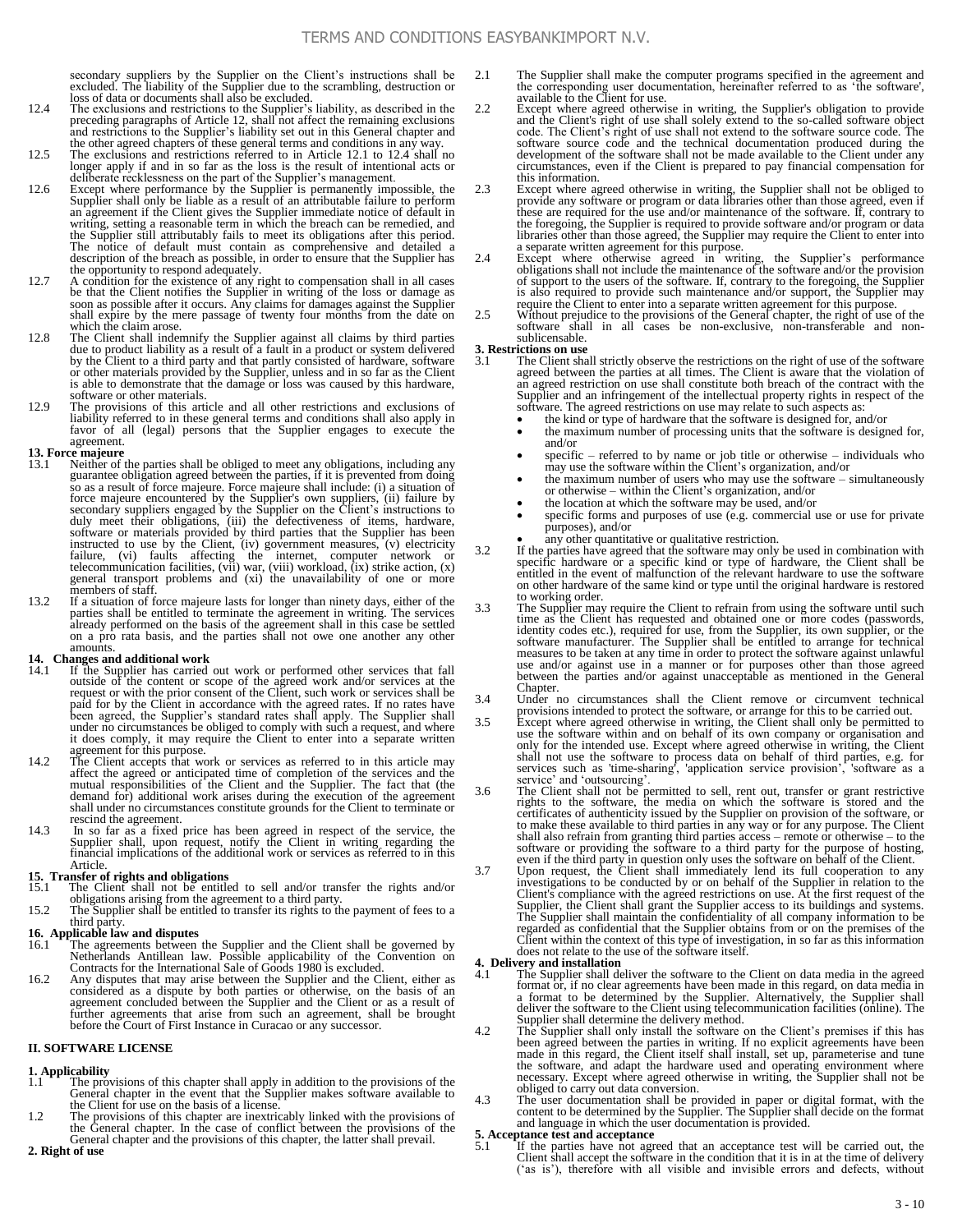secondary suppliers by the Supplier on the Client's instructions shall be excluded. The liability of the Supplier due to the scrambling, destruction or loss of data or documents shall also be excluded.

- 12.4 The exclusions and restrictions to the Supplier's liability, as described in the preceding paragraphs of Article 12, shall not affect the remaining exclusions and restrictions to the Supplier's liability set out in this General chapter and<br>the other agreed chapters of these general terms and conditions in any way.<br>12.5 The exclusions and restrictions referred to in Article 12.1
- longer apply if and in so far as the loss is the result of intentional acts or deliberate recklessness on the part of the Supplier's management.
- 12.6 Except where performance by the Supplier is permanently impossible, the Supplier shall only be liable as a result of an attributable failure to perform an agreement if the Client gives the Supplier immediate notice of default in writing, setting a reasonable term in which the breach can be remedied, and the Supplier still attributably fails to meet its obligations after this period. The notice of default must contain as comprehensive and detailed a description of the breach as possible, in order to ensure that the Supplier has
- the opportunity to respond adequately.<br>
12.7 A condition for the existence of any right to compensation shall all cases<br>
be that the Client notifies the Supplier in writing of the loss or damage as<br>
soon as possible after shall expire by the mere passage of twenty four months from the date on
- which the claim arose.<br>
12.8 The Client shall indemnify the Supplier against all claims by third parties<br>
12.8 due to product liability as a result of a fault in a product or system delivered by the Client to a third party and that partly consisted of hardware, software or other materials provided by the Supplier, unless and in so far as the Client is able to demonstrate that the damage or loss was caused by this hardware, software or other materials.
- 12.9 The provisions of this article and all other restrictions and exclusions of liability referred to in these general terms and conditions shall also apply in favor of all (legal) persons that the Supplier engages to execute the agreement.

- **13. Force majeure** 13.1 Neither of the parties shall be obliged to meet any obligations, including any guarantee obligation agreed between the parties, if it is prevented from doing so as a result of force majeure. Force majeure shall include: (i) a situation of force majeure encountered by the Supplier's own suppliers, (ii) failure by secondary suppliers engaged by the Supplier on the Client's instructions to duly meet their obligations, (iii) the defectiveness of items, hardware software or materials provided by third parties that the Supplier has been<br>instructed to use by the Client, (iv) government measures, (v) electricity<br>failure, (vi) faults affecting the internet, computer network or<br>telecom members of staff.
- 13.2 If a situation of force majeure lasts for longer than ninety days, either of the parties shall be entitled to terminate the agreement in writing. The services already performed on the basis of the agreement shall in this case be settled on a pro rata basis, and the parties shall not owe one another any other amounts.

- **14. Changes and additional work** 14.1 If the Supplier has carried out work or performed other services that fall outside of the content or scope of the agreed work and/or services at the request or with the prior consent of the Client, such work or services shall be paid for by the Client in accordance with the agreed rates. If no ra it does comply, it may require the Client to enter into a separate written agreement for this purpose.
- 14.2 The Client accepts that work or services as referred to in this article may affect the agreed or anticipated time of completion of the services and the mutual responsibilities of the Client and the Supplier. The fact demand for) additional work arises during the execution of the agreement shall under no circumstances constitute grounds for the Client to terminate or
- rescind the agreement. 14.3 In so far as a fixed price has been agreed in respect of the service, the Supplier shall, upon request, notify the Client in writing regarding the financial implications of the additional work or services as referred to in this Article.

- **15. Transfer of rights and obligations** 15.1 The Client shall not be entitled to sell and/or transfer the rights and/or obligations arising from the agreement to a third party.
- 15.2 The Supplier shall be entitled to transfer its rights to the payment of fees to a third party.

## **16. Applicable law and disputes**

- 16.1 The agreements between the Supplier and the Client shall be governed by Netherlands Antillean law. Possible applicability of the Convention on Contracts for the International Sale of Goods 1980 is excluded.
- 16.2 Any disputes that may arise between the Supplier and the Client, either as considered as a dispute by both parties or otherwise, on the basis of an agreement concluded between the Supplier and the Client or as a resul before the Court of First Instance in Curacao or any successor.

### **II. SOFTWARE LICENSE**

## **1. Applicability**

- The provisions of this chapter shall apply in addition to the provisions of the General chapter in the event that the Supplier makes software available to the Client for use on the basis of a license.
- 1.2 The provisions of this chapter are inextricably linked with the provisions of the General chapter. In the case of conflict between the provisions of the General chapter and the provisions of this chapter, the latter shall prevail.

**2. Right of use**

- 2.1 The Supplier shall make the computer programs specified in the agreement and the corresponding user documentation, hereinafter referred to as 'the software', available to the Client for use.
- 2.2 Except where agreed otherwise in writing, the Supplier's obligation to provide<br>and the Client's right of use shall solely extend to the so-called software object<br>code. The Client's right of use shall not extend to the circumstances, even if the Client is prepared to pay financial compensation for this information.
- 2.3 Except where agreed otherwise in writing, the Supplier shall not be obliged to provide any software or program or data libraries other than those agreed, even if these are required for the use and/or maintenance of the the foregoing, the Supplier is required to provide software and/or program or data libraries other than those agreed, the Supplier may require the Client to enter into
- a separate written agreement for this purpose. 2.4 Except where otherwise agreed in writing, the Supplier's performance obligations shall not include the maintenance of the software and/or the provision of support to the users of the software. If, contrary to the foregoing, the Supplier is also required to provide such maintenance and/or support, the Supplier may require the Client to enter into a separate written agreement for this purpose.
- 2.5 Without prejudice to the provisions of the General chapter, the right of use of the software shall in all cases be non-exclusive, non-transferable and nonsublicensable.

### **3. Restrictions on use**

- The Client shall strictly observe the restrictions on the right of use of the software agreed between the parties at all times. The Client is aware that the violation of an agreed restriction on use shall constitute both breach of the contract with the Supplier and an infringement of the intellectual property rights in respect of the software. The agreed restrictions on use may relate to s
	- the kind or type of hardware that the software is designed for, and/or
	- the maximum number of processing units that the software is designed for, and/or
	- specific referred to by name or job title or otherwise individuals who
	- may use the software within the Client's organization, and/or the maximum number of users who may use the software – simultaneously or otherwise – within the Client's organization, and/or
	- the location at which the software may be used, and/or
	- specific forms and purposes of use (e.g. commercial use or use for private purposes), and/or
	-
- any other quantitative or qualitative restriction.<br>3.2 If the parties have agreed that the software may only be used in combination with specific hardware or a specific kind or type of hardware, the Client shall be entitled in the event of malfunction of the relevant hardware to use the software on other hardware of the same kind or type until the original hardware is restored to working order.
- 3.3 The Supplier may require the Client to refrain from using the software until such time as the Client has requested and obtained one or more codes (passwords, identity codes etc.), required for use, from the Supplier, its own supplier, or the software manufacturer. The Supplier shall be entitled to arrange for technical measures to be taken at any time in order to protect the software against unlawful use and/or against use in a manner or for purposes other than those agreed between the parties and/or against unacceptable as mentioned in the General Chapter.
- 3.4 Under no circumstances shall the Client remove or circumvent technical provisions intended to protect the software, or arrange for this to be carried out.<br>3.5 Except where agreed otherwise in writing, the Client shall
- only for the intended use. Except where agreed otherwise in writing, the Client shall not use the software to process data on behalf of third parties, e.g. for services such as 'time-sharing', 'application service provisio service' and 'outsourcing'.
- 3.6 The Client shall not be permitted to sell, rent out, transfer or grant restrictive rights to the software, the media on which the software is stored and the certificates of authenticity issued by the Supplier on provis to make these available to third parties in any way or for any purpose. The Client shall also refrain from granting third parties access – remote or otherwise – to the<br>software or providing the software to a third party for the purpose of hosting,<br>even if the third party in question only uses the softwar
- Client's compliance with the agreed restrictions on use. At the first request of the Supplier, the Client shall grant the Supplier access to its buildings and systems.<br>The Supplier shall maintain the confidentiality of all company information to be<br>regarded as confidential that the Supplier obtains from or Client within the context of this type of investigation, in so far as this information does not relate to the use of the software itself.

## **4. Delivery and installation**

- 4.1 The Supplier shall deliver the software to the Client on data media in the agreed format or, if no clear agreements have been made in this regard, on data media in a format to be determined by the Supplier. Alternatively, the Supplier shall deliver the software to the Client using telecommunication facilities (online). The
- Supplier shall determine the delivery method.<br>4.2 The Supplier shall only install the software on the Client's premises if this has<br>been agreed between the parties in writing. If no explicit agreements have been<br>made in th the software, and adapt the hardware used and operating environment where necessary. Except where agreed otherwise in writing, the Supplier shall not be obliged to carry out data conversion.
- 4.3 The user documentation shall be provided in paper or digital format, with the content to be determined by the Supplier. The Supplier shall decide on the format and language in which the user documentation is provided.

#### **5. Acceptance test and acceptance**

5.1 If the parties have not agreed that an acceptance test will be carried out, the Client shall accept the software in the condition that it is in at the time of delivery ('as is'), therefore with all visible and invisible errors and defects, without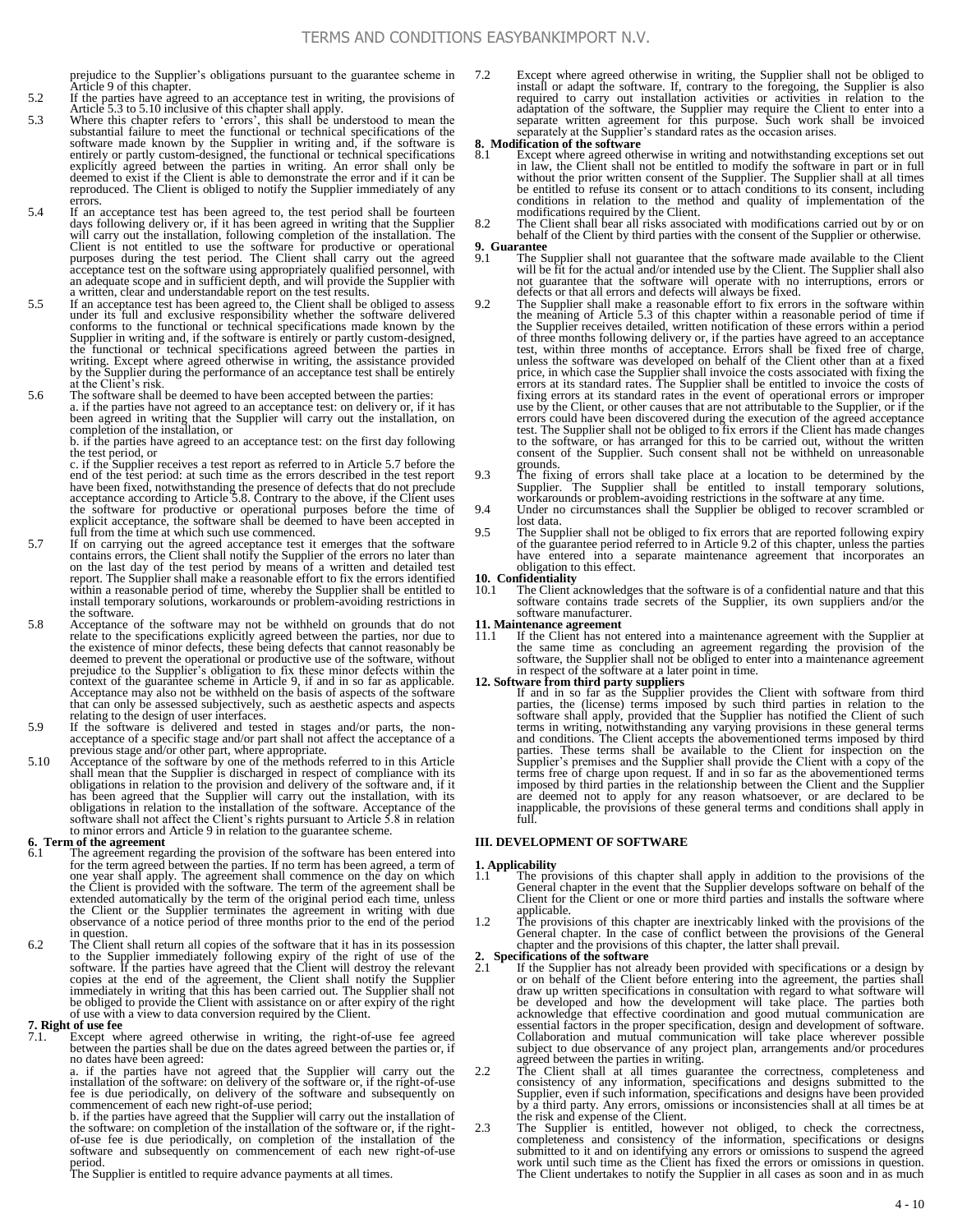prejudice to the Supplier's obligations pursuant to the guarantee scheme in Article 9 of this chapter.

- 5.2 If the parties have agreed to an acceptance test in writing, the provisions of
- Article 5.3 to 5.10 inclusive of this chapter shall apply.<br>5.3 Where this chapter refers to 'errors', this shall be understood to mean the substantial failure to meet the functional or technical specifications of the softw explicitly agreed between the parties in writing. An error shall only be deemed to exist if the Client is able to demonstrate the error and if it can be reproduced. The Client is obliged to notify the Supplier immediately of any errors.<br>
5.4 If an acceptance test has been agreed to, the test period shall be fourteen
- days following delivery or, if it has been agreed in writing that the Supplier will carry out the installation, following completion of the installation. The Client is not entitled to use the software for productive or operational purposes during the test period. The Client shall carry out the agreed acceptance test on the software using appropriately qualified personnel, with an adequate scope and in sufficient depth, and will provide the Supplier with a written, clear and understandable report on the test results.
- 5.5 If an acceptance test has been agreed to, the Client shall be obliged to assess under its full and exclusive responsibility whether the software delivered conforms to the functional or technical specifications made known by the Supplier in writing and, if the software is entirely or partly custom-designed, the functional or technical specifications agreed between the parties by the Supplier during the performance of an acceptance test shall be entirely at the Client's risk. 5.6 The software shall be deemed to have been accepted between the parties:
- a. if the parties have not agreed to an acceptance test: on delivery or, if it has been agreed in writing that the Supplier will carry out the installation, on completion of the installation, or

b. if the parties have agreed to an acceptance test: on the first day following the test period, or c. if the Supplier receives a test report as referred to in Article 5.7 before the

end of the test period: at such time as the errors described in the test report have been fixed, notwithstanding the presence of defects that do not preclude<br>acceptance according to Article 5.8. Contrary to the above, if the Client uses<br>the software for productive or operational purposes before the ti full from the time at which such use commenced.

- 5.7 If on carrying out the agreed acceptance test it emerges that the software contains errors, the Client shall notify the Supplier of the errors no later than on the last day of the test period by means of a written and detailed test report. The Supplier shall make a reasonable effort to fix the errors identified within a reasonable period of time, whereby the Supplier shall be entitled to install temporary solutions, workarounds or problem-avoiding restrictions in the software.
- 5.8 Acceptance of the software may not be withheld on grounds that do not relate to the specifications explicitly agreed between the parties, nor due to<br>the existence of minor defects, these being defects that cannot reasonably be<br>deemed to prevent the operational or productive use of the softwa context of the guarantee scheme in Article 9, if and in so far as applicable. Acceptance may also not be withheld on the basis of aspects of the software that can only be assessed subjectively, such as aesthetic aspects and aspects relating to the design of user interfaces.
- 5.9 If the software is delivered and tested in stages and/or parts, the non-acceptance of a specific stage and/or part shall not affect the acceptance of a previous stage and/or other part, where appropriate.
- 5.10 Acceptance of the software by one of the methods referred to in this Article<br>shall mean that the Supplier is discharged in respect of compliance with its<br>obligations in relation to the provision and delivery of the so has been agreed that the Supplier will carry out the installation, with its obligations in relation to the installation of the software. Acceptance of the Software shall not affect the Client's rights pursuant to Article 5

#### **6. Term of the agreement**

- The agreement regarding the provision of the software has been entered into for the term agreed between the parties. If no term has been agreed, a term of one year shall apply. The agreement shall commence on the day on which<br>the Client is provided with the software. The term of the agreement shall be<br>extended automatically by the term of the original period each time, unles the Client or the Supplier terminates the agreement in writing with due observance of a notice period of three months prior to the end of the period in question.
- 6.2 The Client shall return all copies of the software that it has in its possession to the Supplier immediately following expiry of the right of use of the software. If the parties have agreed that the Client will destroy copies at the end of the agreement, the Client shall notify the Supplier<br>immediately in writing that this has been carried out. The Supplier shall not<br>be obliged to provide the Client with assistance on or after expiry of

#### **7. Right of use fee**

7.1. Except where agreed otherwise in writing, the right-of-use fee agreed between the parties shall be due on the dates agreed between the parties or, if no dates have been agreed:

a. if the parties have not agreed that the Supplier will carry out the installation of the software: on delivery of the software or, if the right-of-use is due periodically, on delivery of the software and subsequently on

b. if the parties have agreed that the Supplier will carry out the installation of the software: on completion of the installation of the software or, if the right-of-use fee is due periodically, on completion of the insta

period. The Supplier is entitled to require advance payments at all times.

7.2 Except where agreed otherwise in writing, the Supplier shall not be obliged to install or adapt the software. If, contrary to the foregoing, the Supplier is also required to carry out installation activities or activities in relation to the adaptation of the software, the Supplier may require the Client to enter into a separate written agreement for this purpose. Such work shall be invoiced separately at the Supplier's standard rates as the occasion arises.

## **8. Modification of the software**<br>8.1 Except where agreed other

Except where agreed otherwise in writing and notwithstanding exceptions set out in law, the Client shall not be entitled to modify the software in part or in full without the prior written consent of the Supplier. The Supplier shall at all times be entitled to refuse its consent or to attach conditions to its consent, including conditions in relation to the method and quality of implementation of the modifications required by the Client. 8.2 The Client shall bear all risks associated with modifications carried out by or on

behalf of the Client by third parties with the consent of the Supplier or otherwise.

# **9. Guarantee**

- The Supplier shall not guarantee that the software made available to the Client will be fit for the actual and/or intended use by the Client. The Supplier shall also<br>not guarantee that the software will operate with no interruptions, errors or<br>defects or that all errors and defects will always be fixe
- 9.2 The Supplier shall make a reasonable effort to fix errors in the software within the meaning of Article 5.3 of this chapter within a reasonable period of time if the Supplier receives detailed, written notification of these errors within a period<br>of three months following delivery or, if the parties have agreed to an acceptance<br>test, within three months of acceptance. Errors shall unless the software was developed on behalf of the Client other than at a fixed price, in which case the Supplier shall invoice the costs associated with fixing the errors at its standard rates. The Supplier shall be entitled to invoice the costs of fixing errors at its standard rates. The Supplier sh errors could have been discovered during the execution of the agreed acceptance test. The Supplier shall not be obliged to fix errors if the Client has made changes to the software, or has arranged for this to be carried out, without the written consent of the Supplier. Such consent shall not be withheld on unreasonable
- grounds.<br>
The fixing of errors shall take place at a location to be determined by the<br>
Supplier. The Supplier shall be entitled to install temporary solutions,<br>
workarounds or problem-avoiding restrictions in the software
- 9.4 Under no circumstances shall the Supplier be obliged to recover scrambled or lost data.
- 9.5 The Supplier shall not be obliged to fix errors that are reported following expiry of the guarantee period referred to in Article 9.2 of this chapter, unless the parties have entered into a separate maintenance agreement that incorporates an obligation to this effect.

### **10. Confidentiality**<br>10.1 The Client a

The Client acknowledges that the software is of a confidential nature and that this software contains trade secrets of the Supplier, its own suppliers and/or the software manufacturer.

## **11. Maintenance agreement**

If the Client has not entered into a maintenance agreement with the Supplier at the same time as concluding an agreement regarding the provision of the software, the Supplier shall not be obliged to enter into a maintenance agreement in respect of the software at a later point in time.

#### **12. Software from third party suppliers**

If and in so far as the Supplier provides the Client with software from third<br>parties, the (license) terms imposed by such third parties in relation to the<br>software shall apply, provided that the Supplier has notified the parties. These terms shall be 'available to the Client for inspection on the Supplier's premises and the Supplier shall provide the Client with a copy of the terms free of charge upon request. If and in so far as the above are deemed not to apply for any reason whatsoever, or are declared to be inapplicable, the provisions of these general terms and conditions shall apply in full.

#### **III. DEVELOPMENT OF SOFTWARE**

# **1. Applicability**

- 1.1 The provisions of this chapter shall apply in addition to the provisions of the General chapter in the event that the Supplier develops software on behalf of the Client for the Client or one or more third parties and i applicable.
- 1.2 The provisions of this chapter are inextricably linked with the provisions of the General chapter. In the case of conflict between the provisions of the General chapter and the provisions of this chapter, the latter shall prevail.<br>2. Specifications of the software

- 2.1 If the Supplier has not already been provided with specifications or a design by or on behalf of the Client before entering into the agreement, the parties shall draw up written specifications in consultation with regard to what software will be developed and how the development will take place. The parties both acknowledge that effective coordination and good mutual communication are essential factors in the proper specification, design and development of soft agreed between the parties in writing.
- 2.2 The Client shall at all times guarantee the correctness, completeness and consistency of any information, specifications and designs submitted to the Supplier, even if such information, specifications and designs have the risk and expense of the Client.
- 2.3 The Supplier is entitled, however not obliged, to check the correctness, completeness and consistency of the information, specifications or designs submitted to it and on identifying any errors or omissions to suspend The Client undertakes to notify the Supplier in all cases as soon and in as much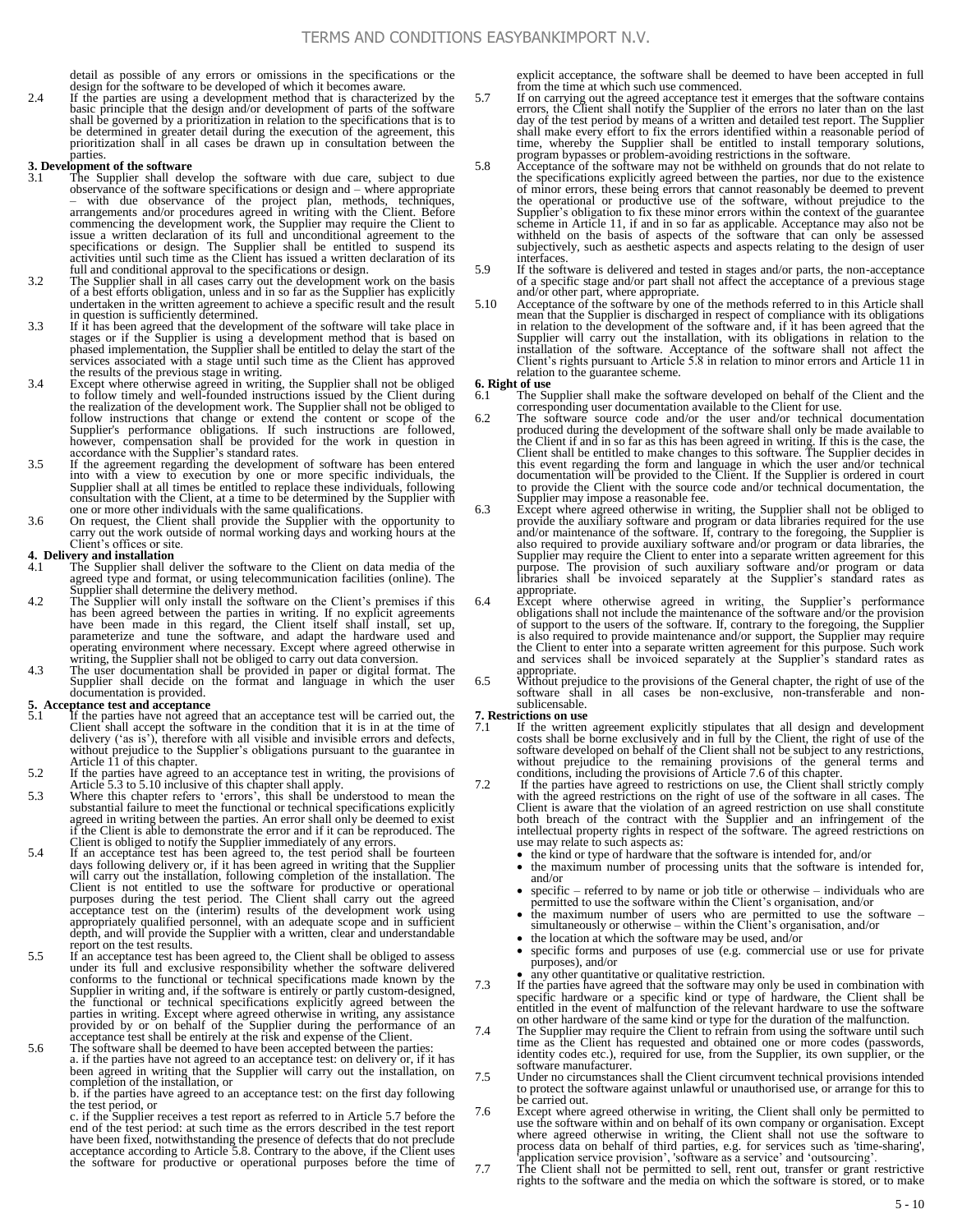detail as possible of any errors or omissions in the specifications or the design for the software to be developed of which it becomes aware.

2.4 If the parties are using a development method that is characterized by the basic principle that the design and/or development of parts of the software shall be governed by a prioritization in relation to the specifications that is to be determined in greater detail during the execution of the agreement, this prioritization shall in all cases be drawn up in consultation b **parties** 

### **3. Development of the software**

- The Supplier shall develop the software with due care, subject to due observance of the software specifications or design and – where appropriate – with due observance of the project plan, methods, techniques, arrangements and/or procedures agreed in writing with the Client. Before commencing the development work, the Supplier may require the Client to issue a written declaration of its full and unconditional agreement to the specifications or design. The Supplier shall be entitled to suspend its activities until such time as the Client has issued a written declaration of its
- full and conditional approval to the specifications or design.<br>3.2 The Supplier shall in all cases carry out the development work on the basis<br>of a best efforts obligation, unless and in so far as the Supplier has explicit undertaken in the written agreement to achieve a specific result and the result in question is sufficiently determined.
- 3.3 If it has been agreed that the development of the software will take place in stages or if the Supplier is using a development method that is based on phased implementation, the Supplier shall be entitled to delay the services associated with a stage until such time as the Client has approved the results of the previous stage in writing.
- 3.4 Except where otherwise agreed in writing, the Supplier shall not be obliged to follow timely and well-founded instructions issued by the Client during the realization of the development work. The Supplier shall not be follow instructions that change or extend the content or scope of the Supplier's performance obligations. If such instructions are followed,<br>however, compensation shall be provided for the work in question in<br>accordance with the Supplier's standard rates.<br>3.5 If the agreement regarding the d
- into with a view to execution by one or more specific individuals, the Supplier shall at all times be entitled to replace these individuals, following consultation with the Client, at a time to be determined by the Supplier with one or more other individuals with the same qualifications. 3.6 On request, the Client shall provide the Supplier with the opportunity to
- carry out the work outside of normal working days and working hours at the Client's offices or site.

# **4. Delivery and installation**<br>**4.1** The Supplier shall do

- The Supplier shall deliver the software to the Client on data media of the agreed type and format, or using telecommunication facilities (online). The Supplier shall determine the delivery method.
- 4.2 The Supplier will only install the software on the Client's premises if this has been agreed between the parties in writing. If no explicit agreements have been made in this regard, the Client itself shall install, set up, parameterize and tune the software, and adapt the hardware used and
- operating environment where necessary. Except where agreed otherwise in<br>writing, the Supplier shall not be obliged to carry out data conversion.<br>4.3 The user documentation shall be provided in paper or digital format. The<br> documentation is provided.

- 5. Acceptance test and acceptance<br>
5.1 If the parties have not agreed that an acceptance test will be carried out, the<br>
Client shall accept the software in the condition that it is in at the time of delivery ('as is'), therefore with all visible and invisible errors and defects, without prejudice to the Supplier's obligations pursuant to the guarantee in
- Article 11 of this chapter.<br>5.2 If the parties have agreed to an acceptance test in writing, the provisions of<br>Article 5.3 to 5.10 inclusive of this chapter shall apply.<br>5.3 Where this chapter refers to 'errors', this shal
- substantial failure to meet the functional or technical specifications explicitly agreed in writing between the parties. An error shall only be deemed to exist if the Client is able to demonstrate the error and if it can be reproduced. The Client is obliged to notify the Supplier immediately of any errors.
- 5.4 If an acceptance test has been agreed to, the test period shall be fourteen days following delivery or, if it has been agreed in writing that the Supplier will carry out the installation, following completion of the installation. The Client is not entitled to use the software for productive or operational purposes during the test period. The Client shall carry out the agreed acceptance test on the (interim) results of the development work using appropriately qualified personnel, with an adequate scope and in sufficient depth, and will provide the Supplier with a written, clear and understandable report on the test results.
- 5.5 If an acceptance test has been agreed to, the Client shall be obliged to assess under its full and exclusive responsibility whether the software delivered conforms to the functional or technical specifications made known by the Supplier in writing and, if the software is entirely or partly custom-designed, the functional or technical specifications explicitly agreed between the<br>parties in writing. Except where agreed otherwise in writing, any assistance<br>provided by or on behalf of the Supplier during the performance of an<br>ac
	- a. if the parties have not agreed to an acceptance test: on delivery or, if it has been agreed in writing that the Supplier will carry out the installation, on completion of the installation, or

b. if the parties have agreed to an acceptance test: on the first day following the test period, or

c. if the Supplier receives a test report as referred to in Article 5.7 before the end of the test period: at such time as the errors described in the test report<br>have been fixed, notwithstanding the presence of defects that do not preclude<br>acceptance according to Article 5.8. Contrary to the above, if t explicit acceptance, the software shall be deemed to have been accepted in full from the time at which such use commenced.

- 5.7 If on carrying out the agreed acceptance test it emerges that the software contains errors, the Client shall notify the Supplier of the errors no later than on the last day of the test period by means of a written and detailed test report. The Supplier shall make every effort to fix the errors identified within a reasonable period of time, whereby the Supplier shall be entitled to install temporary solutions, program bypasses or problem-avoiding restrictions in the software.
- 5.8 Acceptance of the software may not be withheld on grounds that do not relate to the specifications explicitly agreed between the parties, nor due to the existence of minor errors, these being errors that cannot reasonably be deemed to prevent the operational or productive use of the software, without prejudice to the Supplier's obligation to fix these minor errors within the context of the guarantee scheme in Article 11, if and in so far as applicable. Acceptance may also not be withheld on the basis of aspects of the software that can only be assessed subjectively, such as aesthetic aspects and aspects relating to the design of user interfaces.
- 5.9 If the software is delivered and tested in stages and/or parts, the non-acceptance<br>of a specific stage and/or part shall not affect the acceptance of a previous stage<br>and/or other part, where appropriate.<br>5.10 Acceptan
- mean that the Supplier is discharged in respect of compliance with its obligations in relation to the development of the software and, if it has been agreed that the Supplier will carry out the installation, with its obligations in relation to the installation of the software. Acceptance of the software Client's rights pursuant to Article 5.8 in relation to minor errors and Article 11 in relation to the guarantee scheme.

#### **6. Right of use**

- 6.1 The Supplier shall make the software developed on behalf of the Client and the corresponding user documentation available to the Client for use.
- 6.2 The software source code and/or the user and/or technical documentation produced during the development of the software shall only be made available to the Client if and in so far as this has been agreed in writing. If this is the case, the Client shall be entitled to make changes to this software. The Supplier decides in this event regarding the form and language in whic documentation will be provided to the Client. If the Supplier is ordered in court to provide the Client with the source code and/or technical documentation, the Supplier may impose a reasonable fee.
- 6.3 Except where agreed otherwise in writing, the Supplier shall not be obliged to provide the auxiliary software and program or data libraries required for the use and/or maintenance of the software. If, contrary to the foregoing, the Supplier is also required to provide auxiliary software and/or program or data libraries, the Supplier may require the Client to enter into a separate written agreement for this purpose. The provision of such auxiliary software and/or program or data libraries shall be invoiced separately at the Supplier's standard appropriate.
- 6.4 Except where otherwise agreed in writing, the Supplier's performance obligations shall not include the maintenance of the software and/or the provision of support to the users of the software. If, contrary to the foregoing, the Supplier is also required to provide maintenance and/or support, the Supplier may require the Client to enter into a separate written agreement for this purpose. Such work and services shall be invoiced separately at the Supplier's standard rates as appropriate.
- 6.5 Without prejudice to the provisions of the General chapter, the right of use of the software shall in all cases be non-exclusive, non-transferable and nonsublicensable.

# **7. Restrictions on use**<br>7.1 If the written

- 7.1 If the written agreement explicitly stipulates that all design and development costs shall be borne exclusively and in full by the Client, the right of use of the software developed on behalf of the Client shall not be subject to any restrictions, without prejudice to the remaining provisions of the general terms and conditions, including the provisions of Article 7.6 of this chapter.<br>7.2 If the parties have agreed to restrictions on use, the Client shall strictly c
- with the agreed restrictions on the right of use of the software in all cases. The Client is aware that the violation of an agreed restriction on use shall constitute both breach of the contract with the Supplier and an infringement of the intellectual property rights in respect of the software. The agre use may relate to such aspects as:
	- the kind or type of hardware that the software is intended for, and/or
	- the maximum number of processing units that the software is intended for, and/or
	- specific referred to by name or job title or otherwise individuals who are permitted to use the software within the Client's organisation, and/or
	- the maximum number of users who are permitted to use the software simultaneously or otherwise – within the Client's organisation, and/or
	- the location at which the software may be used, and/or
	- specific forms and purposes of use (e.g. commercial use or use for private purposes), and/or
	-
- any other quantitative or qualitative restriction.<br>
7.3 If the parties have agreed that the software may only be used in combination with specific hardware or a specific kind or type of hardware, the Client shall be entitled in the event of malfunction of the relevant hardware to use the software
- on other hardware of the same kind or type for the duration of the malfunction.<br>The Supplier may require the Client to refrain from using the software until such<br>time as the Client has requested and obtained one or more co identity codes etc.), required for use, from the Supplier, its own supplier, or the software manufacturer.
- 7.5 Under no circumstances shall the Client circumvent technical provisions intended to protect the software against unlawful or unauthorised use, or arrange for this to be carried out.
- 7.6 Except where agreed otherwise in writing, the Client shall only be permitted to use the software within and on behalf of its own company or organisation. Except<br>where agreed otherwise in writing, the Client shall not use the software to<br>process data on behalf of third parties, e.g. for services such a
	-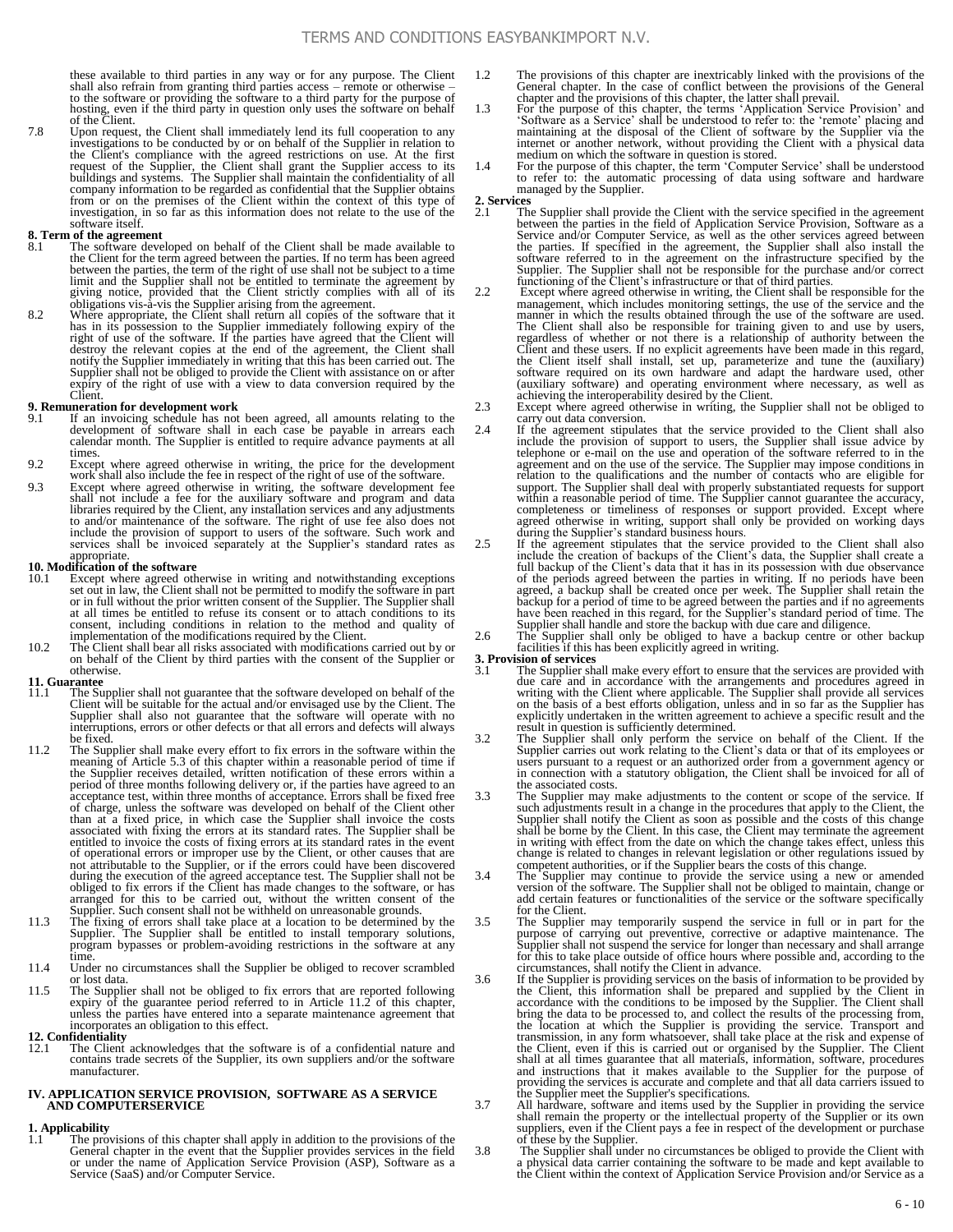these available to third parties in any way or for any purpose. The Client shall also refrain from granting third parties access – remote or otherwise – to the software or providing the software to a third party for the purpose of hosting, even if the third party in question only uses the software on behalf of the Client.

7.8 Upon request, the Client shall immediately lend its full cooperation to any investigations to be conducted by or on behalf of the Supplier in relation to the Client's compliance with the agreed restrictions on use. At the first request of the Supplier, the Client shall grant the Supplier access to its buildings and systems. The Supplier shall maintain the confidentiality of company information to be regarded as confidential that the Supplier obtains from or on the premises of the Client within the context of this type of investigation, in so far as this information does not relate to the use of the software itself.

## **8. Term of the agreement**<br>8.1 The software deve

- The software developed on behalf of the Client shall be made available to the Client for the term agreed between the parties. If no term has been agreed between the parties, the term of the right of use shall not be subject to a time limit and the Supplier shall not be entitled to terminate the
- 8.2 Where appropriate, the Client shall return all copies of the software that it has in its possession to the Supplier immediately following expiry of the right of use of the software. If the parties have agreed that the Client will destroy the relevant copies at the end of the agreement, the Client sh notify the Supplier immediately in writing that this has been carried out. The Supplier shall not be obliged to provide the Client with assistance on or after Supplier shall not be obliged to provide the Client with assistance on or after expiry of the right of use with a view to data conversion required by the Client.

- **9. Remuneration for development work**<br>
9.1 If an invoicing schedule has not been agreed, all amounts relating to the development of software shall in each case be payable in arrears each calendar month. The Supplier is entitled to require advance payments at all times.
- 9.2 Except where agreed otherwise in writing, the price for the development work shall also include the fee in respect of the right of use of the software.
- 9.3 Except where agreed otherwise in writing, the software development fee shall not include a fee for the auxiliary software and program and data<br>libraries required by the Client, any installation services and any adjustments<br>to and/or maintenance of the software. The right of use fee also does include the provision of support to users of the software. Such work and services shall be invoiced separately at the Supplier's standard rates as appropriate.

### **10. Modification of the software**<br>10.1 **Except where agreed oth**

- Except where agreed otherwise in writing and notwithstanding exceptions set out in law, the Client shall not be permitted to modify the software in part or in full without the prior written consent of the Supplier. The Supplier shall<br>at all times be entitled to refuse its consent or to attach conditions to its<br>consent, including conditions in relation to the method and qua
- on behalf of the Client by third parties with the consent of the Supplier or otherwise.

## **11. Guarantee**

- 11.1 The Supplier shall not guarantee that the software developed on behalf of the Client will be suitable for the actual and/or envisaged use by the Client. The Supplier shall also not guarantee that the software will ope be fixed.
- 11.2 The Supplier shall make every effort to fix errors in the software within the meaning of Article 5.3 of this chapter within a reasonable period of time if the Supplier receives detailed, written notification of these errors within a period of three months following delivery or, if the parties have agreed to an acceptance test, within three months of acceptance. Errors shall be fixed free of charge, unless the software was developed on behalf of the Client other<br>than at a fixed price, in which case the Supplier shall invoice the costs<br>associated with fixing the errors at its standard rates. The Supplier sha entitled to invoice the costs of fixing errors at its standard rates in the event of operational errors or improper use by the Client, or other causes that are not attributable to the Supplier, or if the errors could have been discovered during the execution of the agreed acceptance test. The Supplier shall not be obliged to fix errors if the Client has made changes to the software, or has arranged for this to be carried out, without the written consent of the Supplier. Such consent shall not be withheld on unreasonable grounds.
- 11.3 The fixing of errors shall take place at a location to be determined by the Supplier. The Supplier shall be entitled to install temporary solutions, program bypasses or problem-avoiding restrictions in the software at
- 11.4 Under no circumstances shall the Supplier be obliged to recover scrambled or lost data.
- 11.5 The Supplier shall not be obliged to fix errors that are reported following<br>expiry of the guarantee period referred to in Article 11.2 of this chapter,<br>unless the parties have entered into a separate maintenance agree incorporates an obligation to this effect.

#### **12. Confidentiality**

The Client acknowledges that the software is of a confidential nature and contains trade secrets of the Supplier, its own suppliers and/or the software manufacturer.

#### **IV. APPLICATION SERVICE PROVISION, SOFTWARE AS A SERVICE AND COMPUTERSERVICE**

## **1. Applicability**

1.1 The provisions of this chapter shall apply in addition to the provisions of the General chapter in the event that the Supplier provides services in the field or under the name of Application Service Provision (ASP), So Service (SaaS) and/or Computer Service.

- 1.2 The provisions of this chapter are inextricably linked with the provisions of the General chapter. In the case of conflict between the provisions of the General chapter and the provisions of this chapter, the latter shall prevail.
- 1.3 For the purpose of this chapter, the terms 'Application' Service Provision' and 'Software as a Service' shall be understood to refer to: the 'remote' placing and maintaining at the disposal of the Client of software by
- 1.4 For the purpose of this chapter, the term 'Computer Service' shall be understood to refer to: the automatic processing of data using software and hardware managed by the Supplier.
- **2. Services** 2.1 The Supplier shall provide the Client with the service specified in the agreement between the parties in the field of Application Service Provision, Software as a Service and/or Computer Service, as well as the other services agreed between the parties. If specified in the agreement, the Supplier shall also install the software referred to in the agreement on the infrastructure specified by the Supplier. The Supplier shall not be responsible for the purchase and/or correct<br>functioning of the Client's infrastructure or that of third parties.<br>Except where agreed otherwise in writing, the Client shall be responsible
- manner in which the results obtained through the use of the software are used. The Client shall also be responsible for training given to and use by users, regardless of whether or not there is a relationship of authority between the Client and these users. If no explicit agreements have been made in (auxiliary software) and operating environment where necessary, as well as achieving the interoperability desired by the Client.
- 2.3 Except where agreed otherwise in writing, the Supplier shall not be obliged to carry out data conversion.
- 2.4 If the agreement stipulates that the service provided to the Client shall also include the provision of support to users, the Supplier shall issue advice by telephone or e-mail on the use and operation of the software support. The Supplier shall deal with properly substantiated requests for support<br>within a reasonable period of time. The Supplier cannot guarantee the accuracy,<br>completeness or timeliness of responses or support provided.
- 2.5 If the agreement stipulates that the service provided to the Client shall also include the creation of backups of the Client's data, the Supplier shall create a full backup of the Client's data that it has in its possession with due observance of the periods agreed between the parties in writing. If no periods have been agreed, a backup shall be created once per week. The Supplier shall retain the backup for a period of time to be agreed between the parties and if no agreements have been reached in this regard, for the Supplier's standard
- facilities if this has been explicitly agreed in writing.

- **3. Provision of services**<br>3.1 The Supplier shall make every effort to ensure that the services are provided with<br>due care and in accordance with the arrangements and procedures agreed in<br>writing with the Client where appl explicitly undertaken in the written agreement to achieve a specific result and the result in question is sufficiently determined.
- 3.2 The Supplier shall only perform the service on behalf of the Client. If the Supplier carries out work relating to the Client's data or that of its employees or users pursuant to a request or an authorized order from a government agency or in connection with a statutory obligation, the Client shall be invoiced for all of the associated costs.
- 3.3 The Supplier may make adjustments to the content or scope of the service. If such adjustments result in a change in the procedures that apply to the Client, the Supplier shall notify the Client as soon as possible and the costs of this change shall be borne by the Client. In this case, the Client may terminate the agreement in writing with effect from the date on which the change change is related to changes in relevant legislation or other regulations issued by competent authorities, or if the Supplier bears the costs of this change.
- 3.4 The Supplier may continue to provide the service using a new or amended version of the software. The Supplier shall not be obliged to maintain, change or add certain features or functionalities of the service or the software specifically for the Client.
- 3.5 The Supplier may temporarily suspend the service in full or in part for the purpose of carrying out preventive, corrective or adaptive maintenance. The Supplier shall not suspend the service for longer than necessary and shall arrange for this to take place outside of office hours where possible a circumstances, shall notify the Client in advance.
- 3.6 If the Supplier is providing services on the basis of information to be provided by the Client, this information shall be prepared and supplied by the Client in accordance with the conditions to be imposed by the Suppl the Tocation at which the Supplier is providing the service. Transport and<br>transmission, in any form whatsoever, shall take place at the risk and expense of<br>the Client, even if this is carried out or organised by the Suppl
- the Supplier meet the Supplier's specifications.<br>3.7 All hardware, software and items used by the Supplier in providing the service<br>shall remain the property or the intellectual property of the Supplier or its own<br>supplier
- of these by the Supplier. 3.8 The Supplier shall under no circumstances be obliged to provide the Client with a physical data carrier containing the software to be made and kept available to the Client within the context of Application Service Provision and/or Service as a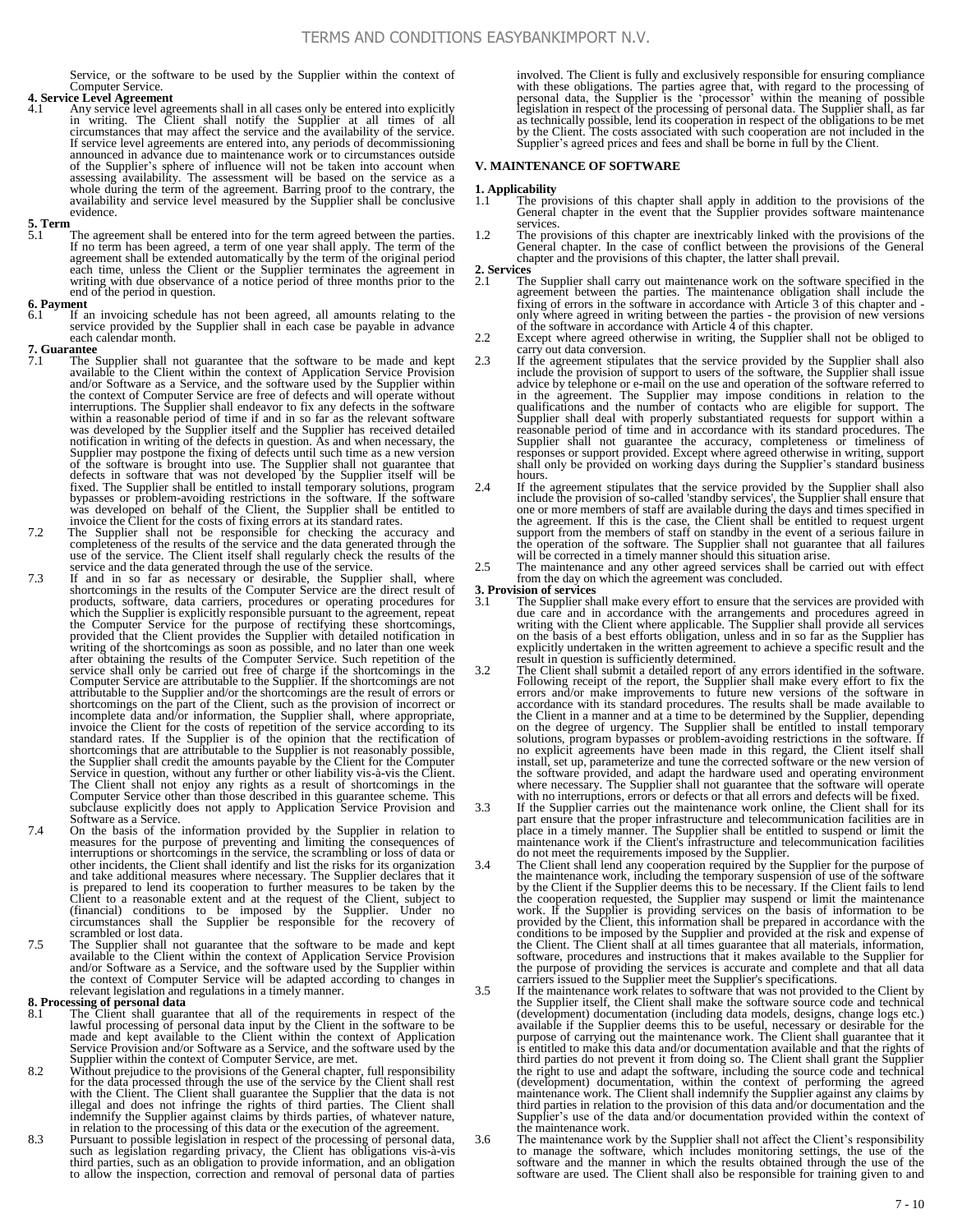Service, or the software to be used by the Supplier within the context of Computer Service.

### **4. Service Level Agreement**

4.1 Any service level agreements shall in all cases only be entered into explicitly<br>in writing. The Client shall notify the Supplier at all times of all<br>circumstances that may affect the service and the availability of the If service level agreements are entered into, any periods of decommissioning<br>announced in advance due to maintenance work or to circumstances outside<br>of the Supplier's sphere of influence will not be taken into account whe evidence.

## **5. Term**

5.1 The agreement shall be entered into for the term agreed between the parties. If no term has been agreed, a term of one year shall apply. The term of the agreement shall be extended automatically by the term of the original period each time, unless the Client or the Supplier terminates the agreement in writing with due observance of a notice period of three months prior to the end of the period in question.

## **6. Payment**<br>**6.1** If a

If an invoicing schedule has not been agreed, all amounts relating to the service provided by the Supplier shall in each case be payable in advance each calendar month.

### **7. Guarantee**

- The Supplier shall not guarantee that the software to be made and kept available to the Client within the context of Application Service Provision and/or Software as a Service, and the software used by the Supplier within<br>the context of Computer Service are free of defects and will operate without<br>interruptions. The Supplier shall endeavor to fix any defects in the s within a reasonable period of time if and in so far as the relevant software was developed by the Supplier itself and the Supplier has received detailed<br>notification in writing of the defects in question. As and when necessary, the<br>Supplier may postpone the fixing of defects until such time as a ne defects in software that was not developed by the Supplier itself will be fixed. The Supplier shall be entitled to install temporary solutions, program bypasses or problem-avoiding restrictions in the software. If the software was developed on behalf of the Client, the Supplier shall be entitled to invoice the Client for the costs of fixing errors at its standard rates.
- 7.2 The Supplier shall not be responsible for checking the accuracy and completeness of the results of the service and the data generated through the use of the service. The Client itself shall regularly check the results
- service and the data generated through the use of the service.<br>
7.3 If and in so far as necessary or desirable, the Supplier shall, where shortcomings in the results of the Computer Service are the direct result of products, software, data carriers, procedures or operating procedures for which the Supplier is explicitly responsible pursuant to the agreement, repeat the Computer Service for the purpose of rectifying these shortcomings attributable to the Supplier and/or the shortcomings are the result of errors or shortcomings on the part of the Client, such as the provision of incorrect or incomplete data and/or information, the Supplier shall, where a shortcomings that are attributable to the Supplier is not reasonably possible, the Supplier shall credit the amounts payable by the Client for the Computer Service in question, without any further or other liability vis-àsubclause explicitly does not apply to Application Service Provision and
- Software as a Service.<br>
7.4 On the basis of the information provided by the Supplier in relation to measures for the purpose of preventing and limiting the consequences of interruptions or shortcomings in the service, the scrambling or loss of data or other incidents, the Client shall identify and list the risks for its organization and take additional measures where necessary. The Supplier declares that it is prepared to lend its cooperation to further measures to be taken by the Client to a reasonable extent and at the request of the Client, subject to (financial) conditions to be imposed by the Supplier. Under no circumstances shall the Supplier be responsible for the recovery of scrambled or lost data.
- 7.5 The Supplier shall not guarantee that the software to be made and kept available to the Client within the context of Application Service Provision and/or Software as a Service, and the software used by the Supplier within the context of Computer Service will be adapted according to changes in relevant legislation and regulations in a timely manner.

- **8. Processing of personal data**<br>8.1 The Client shall guarantee that all of the requirements in respect of the lawful processing of personal data input by the Client in the software to be made and kept available to the Client within the context of Application Service Provision and/or Software as a Service, and the software used by the Supplier within the context of Computer Service, are met.
- 8.2 Without prejudice to the provisions of the General chapter, full responsibility<br>for the data processed through the use of the service by the Client shall rest<br>with the Client shall guarantee the Supplier that the data indemnify the Supplier against claims by thirds parties, of whatever nature,
- in relation to the processing of this data or the execution of the agreement.<br>8.3 Pursuant to possible legislation in respect of the processing of personal data,<br>such as legislation regarding privacy, the Client has obliga to allow the inspection, correction and removal of personal data of parties

involved. The Client is fully and exclusively responsible for ensuring compliance<br>with these obligations. The parties agree that, with regard to the processing of<br>personal data, the Supplier is the 'processor' within the m legislation in respect of the processing of personal data. The Supplier shall, as far as technically possible, lend its cooperation in respect of the obligations to be met<br>by the Client. The costs associated with such cooperation are not included in the<br>Supplier's agreed prices and fees and shall be borne i

#### **V. MAINTENANCE OF SOFTWARE**

# **1. Applicability**

- 1.1 The provisions of this chapter shall apply in addition to the provisions of the General chapter in the event that the Supplier provides software maintenance services.
- 1.2 The provisions of this chapter are inextricably linked with the provisions of the General chapter. In the case of conflict between the provisions of the General chapter and the provisions of this chapter, the latter sh
- **2. Services**
- The Supplier shall carry out maintenance work on the software specified in the agreement between the parties. The maintenance obligation shall include the fixing of errors in the software in accordance with Article 3 of this chapter and only where agreed in writing between the parties - the provision of new versions<br>of the software in accordance with Article 4 of this chapter.<br>2.2 Except where agreed otherwise in writing, the Supplier shall not be obliged
- carry out data conversion.
- 2.3 If the agreement stipulates that the service provided by the Supplier shall also include the provision of support to users of the software, the Supplier shall issue advice by telephone or e-mail on the use and operatio Supplier shall deal with properly substantiated requests for support within a reasonable period of time and in accordance with its standard procedures. The Supplier shall not guarantee the accuracy, completeness or timeliness of responses or support provided. Except where agreed otherwise in writing, support shall only be provided on working days during the Supplier's standar hours.
- 2.4 If the agreement stipulates that the service provided by the Supplier shall also include the provision of so-called 'standby services', the Supplier shall ensure that one or more members of staff are available during t support from the members of staff on standby in the event of a serious failure in the operation of the software. The Supplier shall not guarantee that all failures will be corrected in a timely manner should this situation arise.
- 2.5 The maintenance and any other agreed services shall be carried out with effect from the day on which the agreement was concluded.

### **3. Provision of services**

- 3.1 The Supplier shall make every effort to ensure that the services are provided with due care and in accordance with the arrangements and procedures agreed in writing with the Client where applicable. The Supplier shall on the basis of a best efforts obligation, unless and in so far as the Supplier has explicitly undertaken in the written agreement to achieve a specific result and the
- result in question is sufficiently determined.<br>3.2 The Client shall submit a detailed report of any errors identified in the software.<br>Following receipt of the report, the Supplier shall make every effort to fix the<br>errors accordance with its standard procedures. The results shall be made available to the Client in a manner and at a time to be determined by the Supplier, depending on the degree of urgency. The Supplier shall be entitled to i solutions, program bypasses or problem-avoiding restrictions in the software. If no explicit agreements have been made in this regard, the Client itself shall install, set up, parameterize and tune the corrected software or the new version of<br>the software provided, and adapt the hardware used and operating environment<br>where necessary. The Supplier shall not guarantee that the so
- 3.3 If the Supplier carries out the maintenance work online, the Client shall for its part ensure that the proper infrastructure and telecommunication facilities are in<br>place in a timely manner. The Supplier shall be entitled to suspend or limit the<br>maintenance work if the Client's infrastructure and teleco do not meet the requirements imposed by the Supplier.
- 3.4 The Client shall lend any cooperation required by the Supplier for the purpose of the maintenance work, including the temporary suspension of use of the software<br>by the Client if the Supplier deems this to be necessary. If the Client fails to lend<br>the cooperation requested, the Supplier may suspend or l work. If the Supplier is providing services on the basis of information to be provided by the Client, this information shall be prepared in accordance with the conditions to be imposed by the Supplier and provided at the risk and expense of the Client. The Client shall at all times guarantee that all materials, information, software, procedures and instructions that it makes avai the purpose of providing the services is accurate and complete and that all data carriers issued to the Supplier meet the Supplier's specifications. 3.5 If the maintenance work relates to software that was not provided to the Client by
- the Supplier itself, the Client shall make the software source code and technical (development) documentation (including data models, designs, change logs etc.) available if the Supplier deems this to be useful, necessary third parties do not prevent it from doing so. The Client shall grant the Supplier<br>the right to use and adapt the software, including the source code and technical<br>(development) documentation, within the context of perform Supplier's use of the data and/or documentation provided within the context of the maintenance work. 3.6 The maintenance work by the Supplier shall not affect the Client's responsibility
	- to manage the software, which includes monitoring settings, the use of the software and the manner in which the results obtained through the use of the software are used. The Client shall also be responsible for training given to and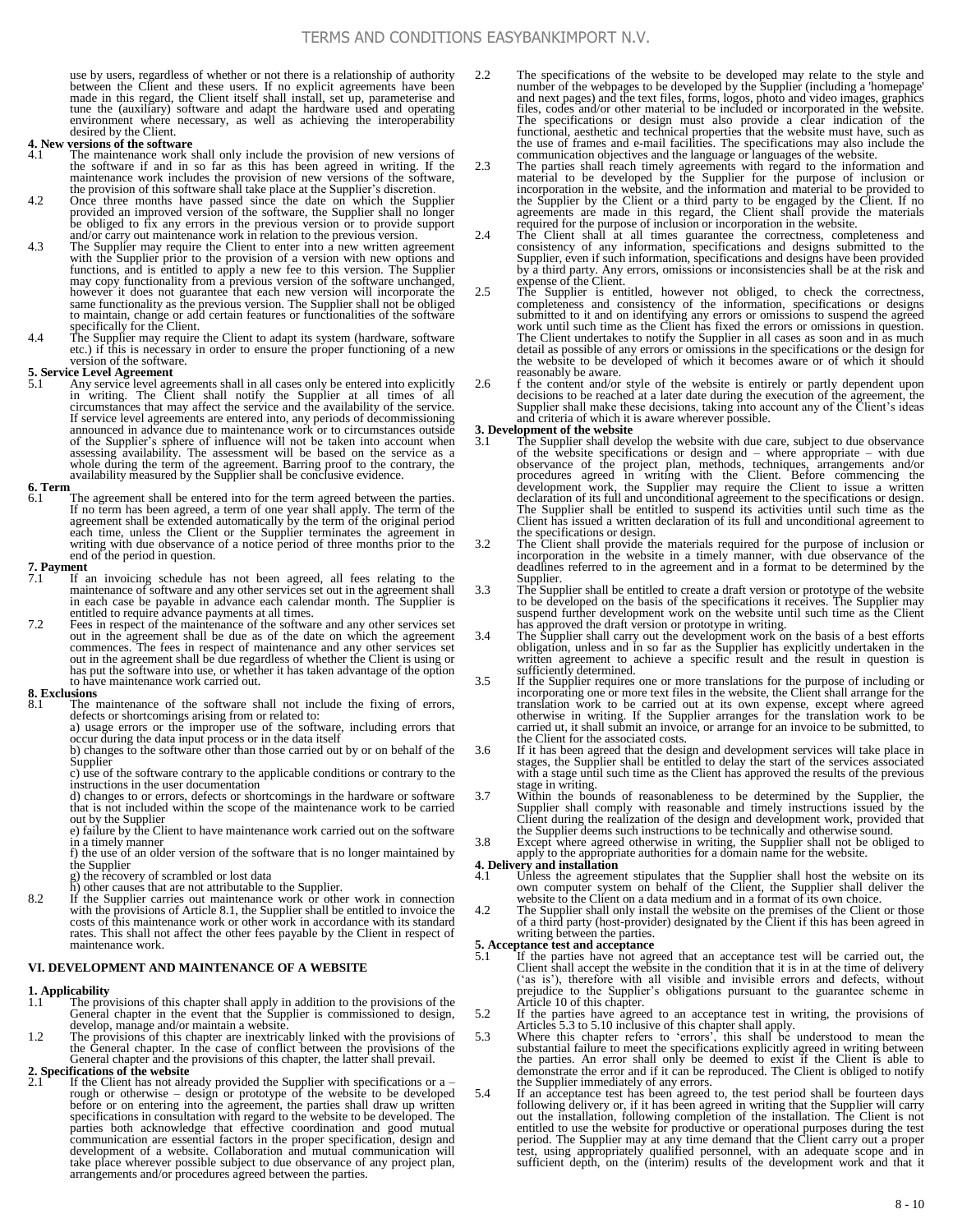use by users, regardless of whether or not there is a relationship of authority between the Client and these users. If no explicit agreements have been made in this regard, the Client itself shall install, set up, parameterise and tune the (auxiliary) software and adapt the hardware used and operating environment where necessary, as well as achieving the interoperability desired by the Client.

## **4. New versions of the software**<br>  $\frac{4}{4}$  1 The maintenance work

- The maintenance work shall only include the provision of new versions of the software if and in so far as this has been agreed in writing. If the maintenance work includes the provision of new versions of the software, the provision of this software shall take place at the Supplier's discretion.
- 4.2 Once three months have passed since the date on which the Supplier provided an improved version of the software, the Supplier shall no longer be obliged to fix any errors in the previous version or to provide support and/or carry out maintenance work in relation to the previous version.
- 4.3 The Supplier may require the Client to enter into a new written agreement with the Supplier prior to the provision of a version with new options and functions, and is entitled to apply a new fee to this version. The Supplier may copy functionality from a previous version of the software unchanged, however it does not guarantee that each new version will incorporate the to maintain, change or add certain features or functionalities of the software
- specifically for the Client.<br>
4.4 The Supplier may require the Client to adapt its system (hardware, software<br>
etc.) if this is necessary in order to ensure the proper functioning of a new version of the software.

## **5. Service Level Agreement**<br>5.1 Any service level agreement

5.1 Any service level agreements shall in all cases only be entered into explicitly<br>in writing. The Client shall notify the Supplier at all times of all<br>circumstances that may affect the service and the availability of the If service level agreements are entered into, any periods of decommissioning announced in advance due to maintenance work or to circumstances outside of the Supplier's sphere of influence will not be taken into account when assessing availability. The assessment will be based on the service as a whole during the term of the agreement. Barring proof to the contrary, the availability measured by the Supplier shall be conclusive evidence.

## **6. Term**

6.1 The agreement shall be entered into for the term agreed between the parties.<br>If no term has been agreed, a term of one year shall apply. The term of the<br>agreement shall be extended automatically by the term of the orig each time, unless the Client or the Supplier terminates the agreement in writing with due observance of a notice period of three months prior to the end of the period in question.

### **7. Payment**<br>7.1 **If** a

- If an invoicing schedule has not been agreed, all fees relating to the maintenance of software and any other services set out in the agreement shall in each case be payable in advance each calendar month. The Supplier is entitled to require advance payments at all times.
- 7.2 Fees in respect of the maintenance of the software and any other services set out in the agreement shall be due as of the date on which the agreement<br>commences. The fees in respect of maintenance and any other services set<br>cout in the agreement shall be due regardless of whether the Client is using to have maintenance work carried out.

#### **8. Exclusions**

The maintenance of the software shall not include the fixing of errors, defects or shortcomings arising from or related to: a) usage errors or the improper use of the software, including errors that

occur during the data input process or in the data itself

b) changes to the software other than those carried out by or on behalf of the Supplier

c) use of the software contrary to the applicable conditions or contrary to the instructions in the user documentation

d) changes to or errors, defects or shortcomings in the hardware or software that is not included within the scope of the maintenance work to be carried out by the Supplier e) failure by the Client to have maintenance work carried out on the software

in a timely manner

f) the use of an older version of the software that is no longer maintained by the Supplier

- g) the recovery of scrambled or lost data h) other causes that are not attributable to the Supplier.
- 8.2 If the Supplier carries out maintenance work or other work in connection with the provisions of Article 8.1, the Supplier shall be entitled to invoice the costs of this maintenance work or other work in accordance with its standard rates. This shall not affect the other fees payable by the Client in respect of maintenance work.

#### **VI. DEVELOPMENT AND MAINTENANCE OF A WEBSITE**

## **1. Applicability**

- 1.1 The provisions of this chapter shall apply in addition to the provisions of the General chapter in the event that the Supplier is commissioned to design, develop, manage and/or maintain a website.
- 1.2 The provisions of this chapter are inextricably linked with the provisions of the General chapter. In the case of conflict between the provisions of the General chapter and the provisions of this chapter, the latter shall prevail.
- **2. Specifications of the website**<br>2.1 If the Client bas not also
- If the Client has not already provided the Supplier with specifications or a rough or otherwise – design or prototype of the website to be developed<br>before or on entering into the agreement, the parties shall draw up written<br>specifications in consultation with regard to the website to be developed. parties both acknowledge that effective coordination and good mutual<br>communication are essential factors in the proper specification, design and<br>development of a website. Collaboration and mutual communication will<br>take pl arrangements and/or procedures agreed between the parties.

2.2 The specifications of the website to be developed may relate to the style and number of the webpages to be developed by the Supplier (including a 'homepage' and next pages) and the text files, forms, logos, photo and video images, graphics files, codes and/or other material to be included or incorporated in the website. The specifications or design must also provide a clear indication of the functional, aesthetic and technical properties that the website must have, such as the use of frames and e-mail facilities. The specifications may al

2.3 The parties shall reach timely agreements with regard to the information and material to be developed by the Supplier for the purpose of inclusion or incorporation in the website, and the information and material to be provided to<br>the Supplier by the Client or a third party to be engaged by the Client. If no<br>agreements are made in this regard, the Client shall provide t

- consistency of any information, specifications and designs submitted to the Supplier, even if such information, specifications and designs have been provided by a third party. Any errors, omissions or inconsistencies shall be at the risk and expense of the Client.<br>2.5 The Supplier is entitled, however not obliged, to check the correctness,
- completeness and consistency of the information, specifications or designs submitted to it and on identifying any errors or omissions to suspend the agreed work until such time as the Client has fixed the errors or omissions in question.<br>The Client undertakes to notify the Supplier in all cases as soon and in as much<br>detail as possible of any errors or omissions in the specif the website to be developed of which it becomes aware or of which it should reasonably be aware.
- 2.6 f the content and/or style of the website is entirely or partly dependent upon decisions to be reached at a later date during the execution of the agreement, the Supplier shall make these decisions, taking into account and criteria of which it is aware wherever possible.

## **3. Development of the website**<br> **3.1** The Supplier shall deve

- The Supplier shall develop the website with due care, subject to due observance of the 'website specifications or design and – where appropriate – with due<br>observance of the project plan, methods, techniques, arrangements and/or<br>procedures agreed in writing with the Client. Before commencing the<br>devel the specifications or design.
- 3.2 The Client shall provide the materials required for the purpose of inclusion or incorporation in the website in a timely manner, with due observance of the deadlines referred to in the agreement and in a format to be d Supplier.
- 3.3 The Supplier shall be entitled to create a draft version or prototype of the website<br>to be developed on the basis of the specifications it receives. The Supplier may<br>suspend further development work on the website unti
- has approved the draft version or prototype in writing.<br>3.4 The Supplier shall carry out the development work on the basis of a best efforts<br>bilgation, unless and in so far as the Supplier has explicitly undertaken in the<br>
- 3.5 If the Supplier requires one or more translations for the purpose of including or incorporating one or more text files in the website, the Client shall arrange for the translation work to be carried out at its own expense, except where agreed otherwise in writing. If the Supplier arranges for the translation work to be carried ut, it shall submit an invoice, or arrange for an invoice to the Client for the associated costs.
- 3.6 If it has been agreed that the design and development services will take place in stages, the Supplier shall be entitled to delay the start of the services associated with a stage until such time as the Client has approved the results of the previous stage in writing.
- 3.7 Within the bounds of reasonableness to be determined by the Supplier, the Supplier shall comply with reasonable and timely instructions issued by the Client during the realization of the design and development work, provided that the Supplier deems such instructions to be technically and otherwise sound.
- 3.8 Except where agreed otherwise in writing, the Supplier shall not be obliged to apply to the appropriate authorities for a domain name for the website.

## **4. Delivery and installation**<br>4.1 Unless the agreement

- 4.1 Unless the agreement stipulates that the Supplier shall host the website on its own computer system on behalf of the Client, the Supplier shall deliver the website to the Client on a data medium and in a format of its
- 4.2 The Supplier shall only install the website on the premises of the Client or those of a third party (host-provider) designated by the Client if this has been agreed in writing between the parties.

- **5. Acceptance test and acceptance**<br>5.1 If the parties have not agreed that an acceptance test will be carried out, the Client shall accept the website in the condition that it is in at the time of delivery ('as is'), therefore with all visible and invisible errors and defects, without prejudice to the Supplier's obligations pursuant to the guarantee scheme in
- Article 10 of this chapter.<br>
5.2 If the parties have agreed to an acceptance test in writing, the provisions of
- Articles 5.3 to 5.10 inclusive of this chapter shall apply.<br>5.3 Where this chapter refers to 'errors', this shall be understood to mean the substantial failure to meet the specifications explicitly agreed in writing betwee the Supplier immediately of any errors.
- 5.4 If an acceptance test has been agreed to, the test period shall be fourteen days following delivery or, if it has been agreed in writing that the Supplier will carry out the installation, following completion of the in entitled to use the website for productive or operational purposes during the test<br>period. The Supplier may at any time demand that the Client carry out a proper<br>test, using appropriately qualified personnel, with an adequ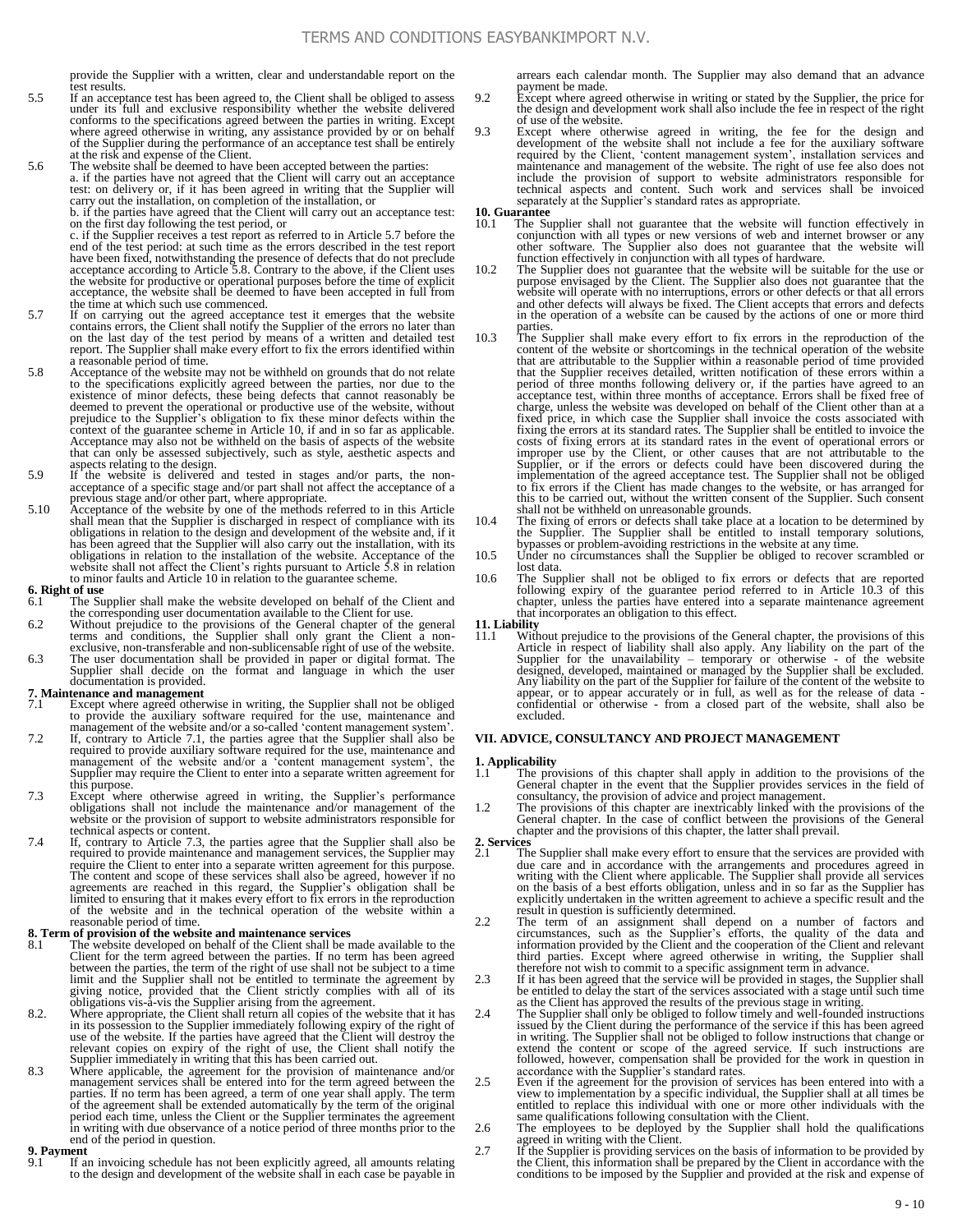provide the Supplier with a written, clear and understandable report on the test results.

- 5.5 If an acceptance test has been agreed to, the Client shall be obliged to assess under its full and exclusive responsibility whether the website delivered conforms to the specifications agreed between the parties in writing. Except where agreed otherwise in writing, any assistance provided by or on behalf<br>of the Supplier during the performance of an acceptance test shall be entirely<br>at the risk and expense of the Client.<br>The website shall be deemed t
- test: on delivery or, if it has been agreed in writing that the Supplier will carry out the installation, on completion of the installation, or b. if the parties have agreed that the Client will carry out an acceptance test: on the first day following the test period, or c. if the Supplier receives a test report as referred to in Article 5.7 before the end of the test period: at such time as the errors described in the test report<br>have been fixed, notwithstanding the presence of defects that do not preclude<br>acceptance according to Article 5.8. Contrary to the above, if t
- the time at which such use commenced. 5.7 If on carrying out the agreed acceptance test it emerges that the website contains errors, the Client shall notify the Supplier of the errors no later than on the last day of the test period by means of a written and d a reasonable period of time.
- 5.8 Acceptance of the website may not be withheld on grounds that do not relate to the specifications explicitly agreed between the parties, nor due to the existence of minor defects, these being defects that cannot reasonably be deemed to prevent the operational or productive use of the website, with context of the guarantee scheme in Article 10, if and in so far as applicable. Acceptance may also not be withheld on the basis of aspects of the website that can only be assessed subjectively, such as style, aesthetic aspects and aspects relating to the design.
- 5.9 If the website is delivered and tested in stages and/or parts, the nonacceptance of a specific stage and/or part shall not affect the acceptance of a
- previous stage and/or other part, where appropriate.<br>5.10 Acceptance of the website by one of the methods referred to in this Article<br>shall mean that the Supplier is discharged in respect of compliance with its<br>obligations has been agreed that the Supplier will also carry out the installation, with its obligations in relation to the installation of the website. Acceptance of the website shall not affect the Client's rights pursuant to Article 5.8 in relation to minor faults and Article 10 in relation to the guarantee sch

### **6. Right of use**

- 6.1 The Supplier shall make the website developed on behalf of the Client and the corresponding user documentation available to the Client for use.
- 6.2 Without prejudice to the provisions of the General chapter of the general terms and conditions, the Supplier shall only grant the Client a non-extinuities and non-sublicensable right of use of the website.<br>The user doc
- documentation is provided.

#### **7. Maintenance and management**

- 7.1 Except where agreed otherwise in writing, the Supplier shall not be obliged to provide the auxiliary software required for the use, maintenance and management of the website and/or a so-called 'content management syste
- 7.2 If, contrary to Article 7.1, the parties agree that the Supplier shall also be required to provide auxiliary software required for the use, maintenance and<br>management of the website and/or a 'content management system', the<br>Supplier may require the Client to enter into a separate written agreement fo this purpose.
- 7.3 Except where otherwise agreed in writing, the Supplier's performance obligations shall not include the maintenance and/or management of the website or the provision of support to website administrators responsible for technical aspects or content.
- 7.4 If, contrary to Article 7.3, the parties agree that the Supplier shall also be required to provide maintenance and management services, the Supplier may require the Client to enter into a separate written agreement for this purpose. The content and scope of these services shall also be agreed, however if no agreements are reached in this regard, the Supplier's obligation shall be limited to ensuring that it makes every effort to fix errors in the repr of the website and in the technical operation of the website within a reasonable period of time.

## **8. Term of provision of the website and maintenance services** 8.1 The website developed on behalf of the Client shall be n

- 8.1 The website developed on behalf of the Client shall be made available to the Client for the term agreed between the parties. If no term has been agreed between the parties, the term of the right of use shall not be subject to a time
- limit and the Supplier shall not be entitled to terminate the agreement by<br>giving notice, provided that the Client strictly complise with all of its<br>obligations vis-a-vis the Supplier arising from the agreement.<br>8.2. Where Supplier immediately in writing that this has been carried out.
- 8.3 Where applicable, the agreement for the provision of maintenance and/or management services shall be entered into for the term agreed between the parties. If no term has been agreed, a term of one year shall apply. The term of the agreement shall be extended automatically by the term of the original period each time, unless the Client or the Supplier terminates the agreement in writing with due observance of a notice period of three months prior to the end of the period in question.

#### **9. Payment**

If an invoicing schedule has not been explicitly agreed, all amounts relating to the design and development of the website shall in each case be payable in arrears each calendar month. The Supplier may also demand that an advance payment be made.

- 9.2 Except where agreed otherwise in writing or stated by the Supplier, the price for the design and development work shall also include the fee in respect of the right of use of the website.
- 9.3 Except where otherwise agreed in writing, the fee for the design and development of the website shall not include a fee for the auxiliary software required by the Client, 'content management system', installation servi include the provision of support to website administrators responsible for technical aspects and content. Such work and services shall be invoiced separately at the Supplier's standard rates as appropriate.
- **10. Guarantee**
	- The Supplier shall not guarantee that the website will function effectively in conjunction with all types or new versions of web and internet browser or any other software. The Supplier also does not guarantee that the website will
- function effectively in conjunction with all types of hardware.<br>10.2 The Supplier does not guarantee that the website will be suitable for the use or<br>purpose envisaged by the Client. The Supplier also does not guarantee th and other defects will always be fixed. The Client accepts that errors and defects in the operation of a website can be caused by the actions of one or more third
- parties.<br>
10.3 The Supplier shall make every effort to fix errors in the reproduction of the content of the website or shortcomings in the technical operation of the website that are attributable to the Supplier within a reasonable period of time provided that the Supplier receives detailed, written notification of these errors within a period of three months following delivery or, if the parties have agreed to an acceptance test, within three months of acceptance. Errors shall be fixed free of charge, unless the website was developed on behalf of the Cli fixed price, in which case the Supplier shall invoice the costs associated with fixing the errors at its standard rates. The Supplier shall be entitled to invoice the costs of fixing errors at its standard rates in the event of operational errors or improper use by the Client, or other causes that are not attributable to the Supplier, or if the errors or defects could have been discovered during the implementation of the agreed acceptance test. The Supplier shall not be obliged to fix errors if the Client has made changes to the website, or has arranged for this to be carried out, without the written consent of the Supplier. Such consent shall not be withheld on unreasonable grounds.<br>
10.4 The fixing of errors or defects shall take place at a location to be determined by
- the Supplier. The Supplier shall be entitled to install temporary solutions,
- bypasses or problem-avoiding restrictions in the website at any time.<br>
10.5 Under no circumstances shall the Supplier be obliged to recover scrambled or lost data.
- 10.6 The Supplier shall not be obliged to fix errors or defects that are reported following expiry of the guarantee period referred to in Article 10.3 of this chapter, unless the parties have entered into a separate maintenance agreement that incorporates an obligation to this effect.

## **11. Liability**

11.1 Without prejudice to the provisions of the General chapter, the provisions of this Article in respect of liability shall also apply. Any liability on the part of the Supplier for the unavailability – temporary or oth Any liability on the part of the Supplier for failure of the content of the website to appear, or to appear accurately or in full, as well as for the release of data - confidential or otherwise - from a closed part of the website, shall also be excluded.

#### **VII. ADVICE, CONSULTANCY AND PROJECT MANAGEMENT**

# **1. Applicability**

- 1.1 The provisions of this chapter shall apply in addition to the provisions of the General chapter in the event that the Supplier provides services in the field of consultancy, the provision of advice and project management.
- 1.2 The provisions of this chapter are inextricably linked with the provisions of the General chapter. In the case of conflict between the provisions of the General chapter and the provisions of this chapter, the latter shall prevail.
- **2. Services**
	- The Supplier shall make every effort to ensure that the services are provided with due care and in accordance with the arrangements and procedures agreed in<br>writing with the Client where applicable. The Supplier shall provide all services<br>on the basis of a best efforts obligation, unless and in so far as explicitly undertaken in the written agreement to achieve a specific result and the result in question is sufficiently determined.
- 2.2 The term of an assignment shall depend on a number of factors and circumstances, such as the Supplier's efforts, the quality of the data and information provided by the Client and the cooperation of the Client and thir therefore not wish to commit to a specific assignment term in advance.
- 2.3 If it has been agreed that the service will be provided in stages, the Supplier shall be entitled to delay the start of the services associated with a stage until such time
- as the Client has approved the results of the previous stage in writing. 2.4 The Supplier shall only be obliged to follow timely and well-founded instructions issued by the Client during the performance of the service if this has been agreed<br>in writing. The Supplier shall not be obliged to follow instructions that change or<br>extend the content or scope of the agreed service. If s
- accordance with the Supplier's standard rates.<br>2.5 Even if the agreement for the provision of services has been entered into with a<br>view to implementation by a specific individual, the Supplier shall at all times be<br>entitl same qualifications following consultation with the Client.
- 
- 2.6 The employees to be deployed by the Supplier shall hold the qualifications agreed in writing with the Client.<br>2.7 If the Supplier is provided by the Supplier shall hold the provided by the Client, this information shal